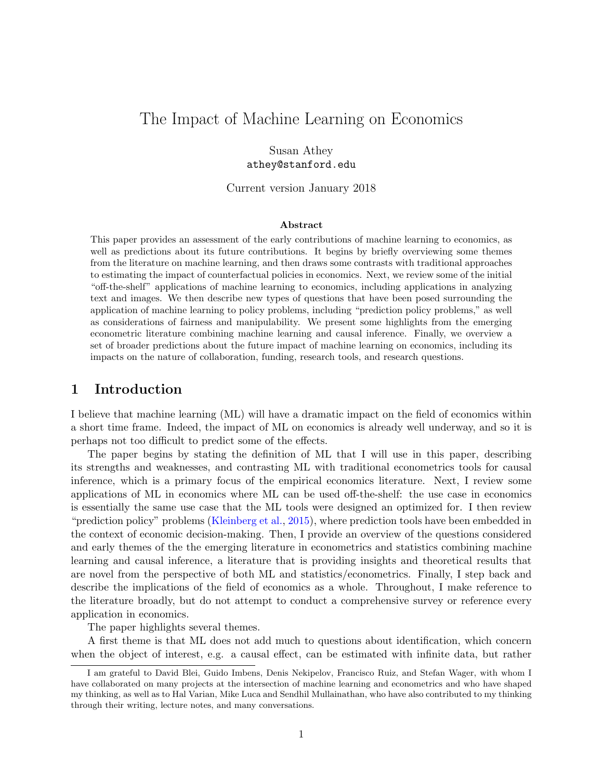# The Impact of Machine Learning on Economics

Susan Athey athey@stanford.edu

Current version January 2018

#### Abstract

This paper provides an assessment of the early contributions of machine learning to economics, as well as predictions about its future contributions. It begins by briefly overviewing some themes from the literature on machine learning, and then draws some contrasts with traditional approaches to estimating the impact of counterfactual policies in economics. Next, we review some of the initial "off-the-shelf" applications of machine learning to economics, including applications in analyzing text and images. We then describe new types of questions that have been posed surrounding the application of machine learning to policy problems, including "prediction policy problems," as well as considerations of fairness and manipulability. We present some highlights from the emerging econometric literature combining machine learning and causal inference. Finally, we overview a set of broader predictions about the future impact of machine learning on economics, including its impacts on the nature of collaboration, funding, research tools, and research questions.

### 1 Introduction

I believe that machine learning (ML) will have a dramatic impact on the field of economics within a short time frame[.](#page-0-0) Indeed, the impact of ML on economics is already well underway, and so it is perhaps not too difficult to predict some of the effects.

The paper begins by stating the definition of ML that I will use in this paper, describing its strengths and weaknesses, and contrasting ML with traditional econometrics tools for causal inference, which is a primary focus of the empirical economics literature. Next, I review some applications of ML in economics where ML can be used off-the-shelf: the use case in economics is essentially the same use case that the ML tools were designed an optimized for. I then review "prediction policy" problems [\(Kleinberg et al.,](#page-29-0) [2015\)](#page-29-0), where prediction tools have been embedded in the context of economic decision-making. Then, I provide an overview of the questions considered and early themes of the the emerging literature in econometrics and statistics combining machine learning and causal inference, a literature that is providing insights and theoretical results that are novel from the perspective of both ML and statistics/econometrics. Finally, I step back and describe the implications of the field of economics as a whole. Throughout, I make reference to the literature broadly, but do not attempt to conduct a comprehensive survey or reference every application in economics.

The paper highlights several themes.

A first theme is that ML does not add much to questions about identification, which concern when the object of interest, e.g. a causal effect, can be estimated with infinite data, but rather

<span id="page-0-0"></span>I am grateful to David Blei, Guido Imbens, Denis Nekipelov, Francisco Ruiz, and Stefan Wager, with whom I have collaborated on many projects at the intersection of machine learning and econometrics and who have shaped my thinking, as well as to Hal Varian, Mike Luca and Sendhil Mullainathan, who have also contributed to my thinking through their writing, lecture notes, and many conversations.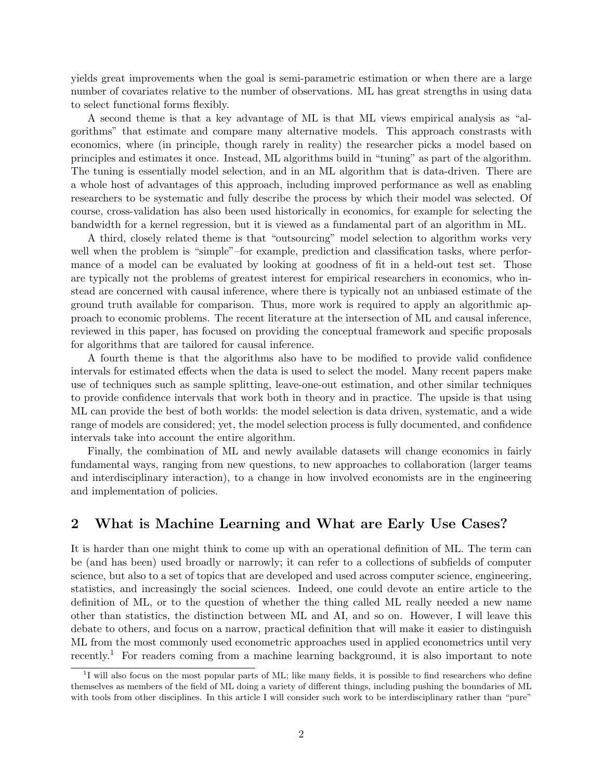yields great improvements when the goal is semi-parametric estimation or when there are a large number of covariates relative to the number of observations. ML has great strengths in using data to select functional forms flexibly.

A second theme is that a key advantage of ML is that ML views empirical analysis as "algorithms" that estimate and compare many alternative models. This approach constrasts with economics, where (in principle, though rarely in reality) the researcher picks a model based on principles and estimates it once. Instead, ML algorithms build in "tuning" as part of the algorithm. The tuning is essentially model selection, and in an ML algorithm that is data-driven. There are a whole host of advantages of this approach, including improved performance as well as enabling researchers to be systematic and fully describe the process by which their model was selected. Of course, cross-validation has also been used historically in economics, for example for selecting the bandwidth for a kernel regression, but it is viewed as a fundamental part of an algorithm in ML.

A third, closely related theme is that "outsourcing" model selection to algorithm works very well when the problem is "simple"–for example, prediction and classification tasks, where performance of a model can be evaluated by looking at goodness of fit in a held-out test set. Those are typically not the problems of greatest interest for empirical researchers in economics, who instead are concerned with causal inference, where there is typically not an unbiased estimate of the ground truth available for comparison. Thus, more work is required to apply an algorithmic approach to economic problems. The recent literature at the intersection of ML and causal inference, reviewed in this paper, has focused on providing the conceptual framework and specific proposals for algorithms that are tailored for causal inference.

A fourth theme is that the algorithms also have to be modified to provide valid confidence intervals for estimated effects when the data is used to select the model. Many recent papers make use of techniques such as sample splitting, leave-one-out estimation, and other similar techniques to provide confidence intervals that work both in theory and in practice. The upside is that using ML can provide the best of both worlds: the model selection is data driven, systematic, and a wide range of models are considered; yet, the model selection process is fully documented, and confidence intervals take into account the entire algorithm.

Finally, the combination of ML and newly available datasets will change economics in fairly fundamental ways, ranging from new questions, to new approaches to collaboration (larger teams and interdisciplinary interaction), to a change in how involved economists are in the engineering and implementation of policies.

## 2 What is Machine Learning and What are Early Use Cases?

It is harder than one might think to come up with an operational definition of ML. The term can be (and has been) used broadly or narrowly; it can refer to a collections of subfields of computer science, but also to a set of topics that are developed and used across computer science, engineering, statistics, and increasingly the social sciences. Indeed, one could devote an entire article to the definition of ML, or to the question of whether the thing called ML really needed a new name other than statistics, the distinction between ML and AI, and so on. However, I will leave this debate to others, and focus on a narrow, practical definition that will make it easier to distinguish ML from the most commonly used econometric approaches used in applied econometrics until very recently.<sup>[1](#page-1-0)</sup> For readers coming from a machine learning background, it is also important to note

<span id="page-1-0"></span><sup>&</sup>lt;sup>1</sup>I will also focus on the most popular parts of ML; like many fields, it is possible to find researchers who define themselves as members of the field of ML doing a variety of different things, including pushing the boundaries of ML with tools from other disciplines. In this article I will consider such work to be interdisciplinary rather than "pure"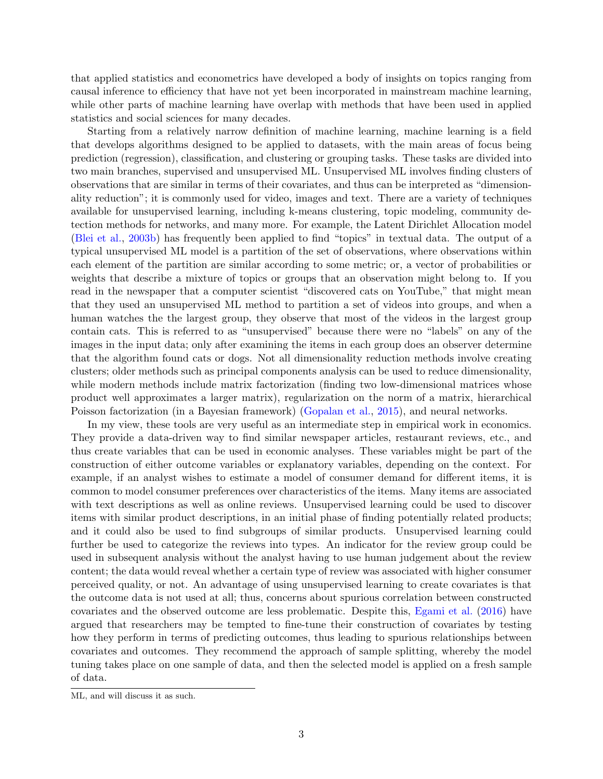that applied statistics and econometrics have developed a body of insights on topics ranging from causal inference to efficiency that have not yet been incorporated in mainstream machine learning, while other parts of machine learning have overlap with methods that have been used in applied statistics and social sciences for many decades.

Starting from a relatively narrow definition of machine learning, machine learning is a field that develops algorithms designed to be applied to datasets, with the main areas of focus being prediction (regression), classification, and clustering or grouping tasks. These tasks are divided into two main branches, supervised and unsupervised ML. Unsupervised ML involves finding clusters of observations that are similar in terms of their covariates, and thus can be interpreted as "dimensionality reduction"; it is commonly used for video, images and text. There are a variety of techniques available for unsupervised learning, including k-means clustering, topic modeling, community detection methods for networks, and many more. For example, the Latent Dirichlet Allocation model [\(Blei et al.,](#page-27-0) [2003b\)](#page-27-0) has frequently been applied to find "topics" in textual data. The output of a typical unsupervised ML model is a partition of the set of observations, where observations within each element of the partition are similar according to some metric; or, a vector of probabilities or weights that describe a mixture of topics or groups that an observation might belong to. If you read in the newspaper that a computer scientist "discovered cats on YouTube," that might mean that they used an unsupervised ML method to partition a set of videos into groups, and when a human watches the the largest group, they observe that most of the videos in the largest group contain cats. This is referred to as "unsupervised" because there were no "labels" on any of the images in the input data; only after examining the items in each group does an observer determine that the algorithm found cats or dogs. Not all dimensionality reduction methods involve creating clusters; older methods such as principal components analysis can be used to reduce dimensionality, while modern methods include matrix factorization (finding two low-dimensional matrices whose product well approximates a larger matrix), regularization on the norm of a matrix, hierarchical Poisson factorization (in a Bayesian framework) [\(Gopalan et al.,](#page-28-0) [2015\)](#page-28-0), and neural networks.

In my view, these tools are very useful as an intermediate step in empirical work in economics. They provide a data-driven way to find similar newspaper articles, restaurant reviews, etc., and thus create variables that can be used in economic analyses. These variables might be part of the construction of either outcome variables or explanatory variables, depending on the context. For example, if an analyst wishes to estimate a model of consumer demand for different items, it is common to model consumer preferences over characteristics of the items. Many items are associated with text descriptions as well as online reviews. Unsupervised learning could be used to discover items with similar product descriptions, in an initial phase of finding potentially related products; and it could also be used to find subgroups of similar products. Unsupervised learning could further be used to categorize the reviews into types. An indicator for the review group could be used in subsequent analysis without the analyst having to use human judgement about the review content; the data would reveal whether a certain type of review was associated with higher consumer perceived quality, or not. An advantage of using unsupervised learning to create covariates is that the outcome data is not used at all; thus, concerns about spurious correlation between constructed covariates and the observed outcome are less problematic. Despite this, [Egami et al.](#page-28-1) [\(2016\)](#page-28-1) have argued that researchers may be tempted to fine-tune their construction of covariates by testing how they perform in terms of predicting outcomes, thus leading to spurious relationships between covariates and outcomes. They recommend the approach of sample splitting, whereby the model tuning takes place on one sample of data, and then the selected model is applied on a fresh sample of data.

ML, and will discuss it as such.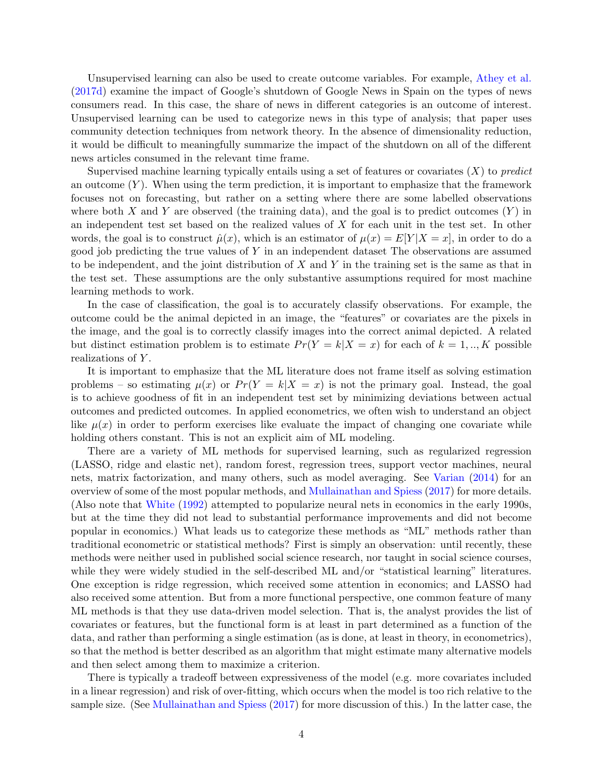Unsupervised learning can also be used to create outcome variables. For example, [Athey et al.](#page-27-1) [\(2017d\)](#page-27-1) examine the impact of Google's shutdown of Google News in Spain on the types of news consumers read. In this case, the share of news in different categories is an outcome of interest. Unsupervised learning can be used to categorize news in this type of analysis; that paper uses community detection techniques from network theory. In the absence of dimensionality reduction, it would be difficult to meaningfully summarize the impact of the shutdown on all of the different news articles consumed in the relevant time frame.

Supervised machine learning typically entails using a set of features or covariates  $(X)$  to *predict* an outcome  $(Y)$ . When using the term prediction, it is important to emphasize that the framework focuses not on forecasting, but rather on a setting where there are some labelled observations where both X and Y are observed (the training data), and the goal is to predict outcomes  $(Y)$  in an independent test set based on the realized values of X for each unit in the test set. In other words, the goal is to construct  $\hat{\mu}(x)$ , which is an estimator of  $\mu(x) = E[Y|X = x]$ , in order to do a good job predicting the true values of  $Y$  in an independent dataset The observations are assumed to be independent, and the joint distribution of  $X$  and  $Y$  in the training set is the same as that in the test set. These assumptions are the only substantive assumptions required for most machine learning methods to work.

In the case of classification, the goal is to accurately classify observations. For example, the outcome could be the animal depicted in an image, the "features" or covariates are the pixels in the image, and the goal is to correctly classify images into the correct animal depicted. A related but distinct estimation problem is to estimate  $Pr(Y = k | X = x)$  for each of  $k = 1, ..., K$  possible realizations of Y.

It is important to emphasize that the ML literature does not frame itself as solving estimation problems – so estimating  $\mu(x)$  or  $Pr(Y = k|X = x)$  is not the primary goal. Instead, the goal is to achieve goodness of fit in an independent test set by minimizing deviations between actual outcomes and predicted outcomes. In applied econometrics, we often wish to understand an object like  $\mu(x)$  in order to perform exercises like evaluate the impact of changing one covariate while holding others constant. This is not an explicit aim of ML modeling.

There are a variety of ML methods for supervised learning, such as regularized regression (LASSO, ridge and elastic net), random forest, regression trees, support vector machines, neural nets, matrix factorization, and many others, such as model averaging. See [Varian](#page-30-0) [\(2014\)](#page-30-0) for an overview of some of the most popular methods, and [Mullainathan and Spiess](#page-29-1) [\(2017\)](#page-29-1) for more details. (Also note that [White](#page-30-1) [\(1992\)](#page-30-1) attempted to popularize neural nets in economics in the early 1990s, but at the time they did not lead to substantial performance improvements and did not become popular in economics.) What leads us to categorize these methods as "ML" methods rather than traditional econometric or statistical methods? First is simply an observation: until recently, these methods were neither used in published social science research, nor taught in social science courses, while they were widely studied in the self-described ML and/or "statistical learning" literatures. One exception is ridge regression, which received some attention in economics; and LASSO had also received some attention. But from a more functional perspective, one common feature of many ML methods is that they use data-driven model selection. That is, the analyst provides the list of covariates or features, but the functional form is at least in part determined as a function of the data, and rather than performing a single estimation (as is done, at least in theory, in econometrics), so that the method is better described as an algorithm that might estimate many alternative models and then select among them to maximize a criterion.

There is typically a tradeoff between expressiveness of the model (e.g. more covariates included in a linear regression) and risk of over-fitting, which occurs when the model is too rich relative to the sample size. (See [Mullainathan and Spiess](#page-29-1) [\(2017\)](#page-29-1) for more discussion of this.) In the latter case, the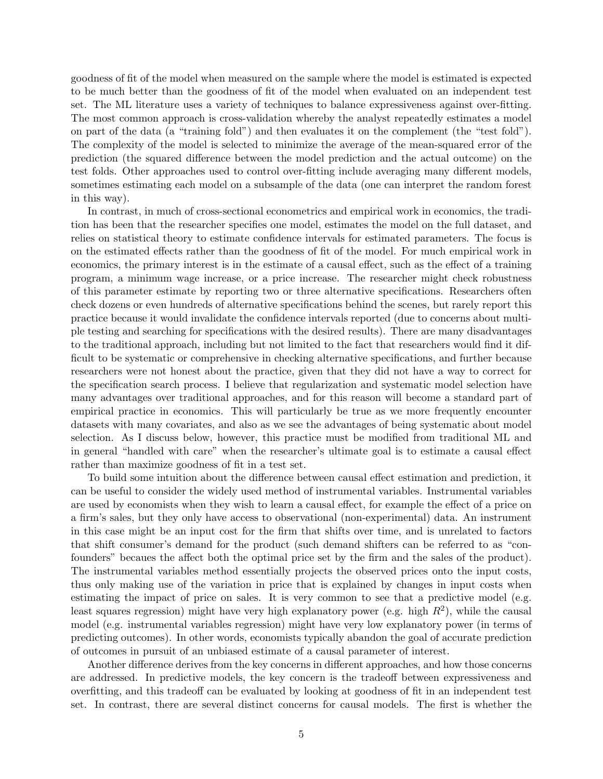goodness of fit of the model when measured on the sample where the model is estimated is expected to be much better than the goodness of fit of the model when evaluated on an independent test set. The ML literature uses a variety of techniques to balance expressiveness against over-fitting. The most common approach is cross-validation whereby the analyst repeatedly estimates a model on part of the data (a "training fold") and then evaluates it on the complement (the "test fold"). The complexity of the model is selected to minimize the average of the mean-squared error of the prediction (the squared difference between the model prediction and the actual outcome) on the test folds. Other approaches used to control over-fitting include averaging many different models, sometimes estimating each model on a subsample of the data (one can interpret the random forest in this way).

In contrast, in much of cross-sectional econometrics and empirical work in economics, the tradition has been that the researcher specifies one model, estimates the model on the full dataset, and relies on statistical theory to estimate confidence intervals for estimated parameters. The focus is on the estimated effects rather than the goodness of fit of the model. For much empirical work in economics, the primary interest is in the estimate of a causal effect, such as the effect of a training program, a minimum wage increase, or a price increase. The researcher might check robustness of this parameter estimate by reporting two or three alternative specifications. Researchers often check dozens or even hundreds of alternative specifications behind the scenes, but rarely report this practice because it would invalidate the confidence intervals reported (due to concerns about multiple testing and searching for specifications with the desired results). There are many disadvantages to the traditional approach, including but not limited to the fact that researchers would find it difficult to be systematic or comprehensive in checking alternative specifications, and further because researchers were not honest about the practice, given that they did not have a way to correct for the specification search process. I believe that regularization and systematic model selection have many advantages over traditional approaches, and for this reason will become a standard part of empirical practice in economics. This will particularly be true as we more frequently encounter datasets with many covariates, and also as we see the advantages of being systematic about model selection. As I discuss below, however, this practice must be modified from traditional ML and in general "handled with care" when the researcher's ultimate goal is to estimate a causal effect rather than maximize goodness of fit in a test set.

To build some intuition about the difference between causal effect estimation and prediction, it can be useful to consider the widely used method of instrumental variables. Instrumental variables are used by economists when they wish to learn a causal effect, for example the effect of a price on a firm's sales, but they only have access to observational (non-experimental) data. An instrument in this case might be an input cost for the firm that shifts over time, and is unrelated to factors that shift consumer's demand for the product (such demand shifters can be referred to as "confounders" becaues the affect both the optimal price set by the firm and the sales of the product). The instrumental variables method essentially projects the observed prices onto the input costs, thus only making use of the variation in price that is explained by changes in input costs when estimating the impact of price on sales. It is very common to see that a predictive model (e.g. least squares regression) might have very high explanatory power (e.g. high  $R^2$ ), while the causal model (e.g. instrumental variables regression) might have very low explanatory power (in terms of predicting outcomes). In other words, economists typically abandon the goal of accurate prediction of outcomes in pursuit of an unbiased estimate of a causal parameter of interest.

Another difference derives from the key concerns in different approaches, and how those concerns are addressed. In predictive models, the key concern is the tradeoff between expressiveness and overfitting, and this tradeoff can be evaluated by looking at goodness of fit in an independent test set. In contrast, there are several distinct concerns for causal models. The first is whether the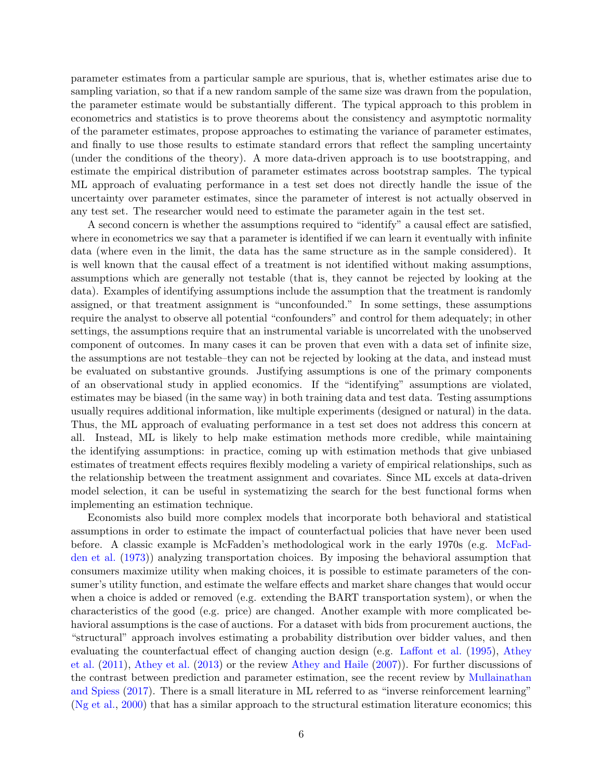parameter estimates from a particular sample are spurious, that is, whether estimates arise due to sampling variation, so that if a new random sample of the same size was drawn from the population, the parameter estimate would be substantially different. The typical approach to this problem in econometrics and statistics is to prove theorems about the consistency and asymptotic normality of the parameter estimates, propose approaches to estimating the variance of parameter estimates, and finally to use those results to estimate standard errors that reflect the sampling uncertainty (under the conditions of the theory). A more data-driven approach is to use bootstrapping, and estimate the empirical distribution of parameter estimates across bootstrap samples. The typical ML approach of evaluating performance in a test set does not directly handle the issue of the uncertainty over parameter estimates, since the parameter of interest is not actually observed in any test set. The researcher would need to estimate the parameter again in the test set.

A second concern is whether the assumptions required to "identify" a causal effect are satisfied, where in econometrics we say that a parameter is identified if we can learn it eventually with infinite data (where even in the limit, the data has the same structure as in the sample considered). It is well known that the causal effect of a treatment is not identified without making assumptions, assumptions which are generally not testable (that is, they cannot be rejected by looking at the data). Examples of identifying assumptions include the assumption that the treatment is randomly assigned, or that treatment assignment is "unconfounded." In some settings, these assumptions require the analyst to observe all potential "confounders" and control for them adequately; in other settings, the assumptions require that an instrumental variable is uncorrelated with the unobserved component of outcomes. In many cases it can be proven that even with a data set of infinite size, the assumptions are not testable–they can not be rejected by looking at the data, and instead must be evaluated on substantive grounds. Justifying assumptions is one of the primary components of an observational study in applied economics. If the "identifying" assumptions are violated, estimates may be biased (in the same way) in both training data and test data. Testing assumptions usually requires additional information, like multiple experiments (designed or natural) in the data. Thus, the ML approach of evaluating performance in a test set does not address this concern at all. Instead, ML is likely to help make estimation methods more credible, while maintaining the identifying assumptions: in practice, coming up with estimation methods that give unbiased estimates of treatment effects requires flexibly modeling a variety of empirical relationships, such as the relationship between the treatment assignment and covariates. Since ML excels at data-driven model selection, it can be useful in systematizing the search for the best functional forms when implementing an estimation technique.

Economists also build more complex models that incorporate both behavioral and statistical assumptions in order to estimate the impact of counterfactual policies that have never been used before. A classic example is McFadden's methodological work in the early 1970s (e.g. [McFad](#page-29-2)[den et al.](#page-29-2) [\(1973\)](#page-29-2)) analyzing transportation choices. By imposing the behavioral assumption that consumers maximize utility when making choices, it is possible to estimate parameters of the consumer's utility function, and estimate the welfare effects and market share changes that would occur when a choice is added or removed (e.g. extending the BART transportation system), or when the characteristics of the good (e.g. price) are changed. Another example with more complicated behavioral assumptions is the case of auctions. For a dataset with bids from procurement auctions, the "structural" approach involves estimating a probability distribution over bidder values, and then evaluating the counterfactual effect of changing auction design (e.g. [Laffont et al.](#page-29-3) [\(1995\)](#page-29-3), [Athey](#page-27-2) [et al.](#page-27-2) [\(2011\)](#page-27-2), [Athey et al.](#page-27-3) [\(2013\)](#page-27-3) or the review [Athey and Haile](#page-26-0) [\(2007\)](#page-26-0)). For further discussions of the contrast between prediction and parameter estimation, see the recent review by [Mullainathan](#page-29-1) [and Spiess](#page-29-1) [\(2017\)](#page-29-1). There is a small literature in ML referred to as "inverse reinforcement learning" [\(Ng et al.,](#page-29-4) [2000\)](#page-29-4) that has a similar approach to the structural estimation literature economics; this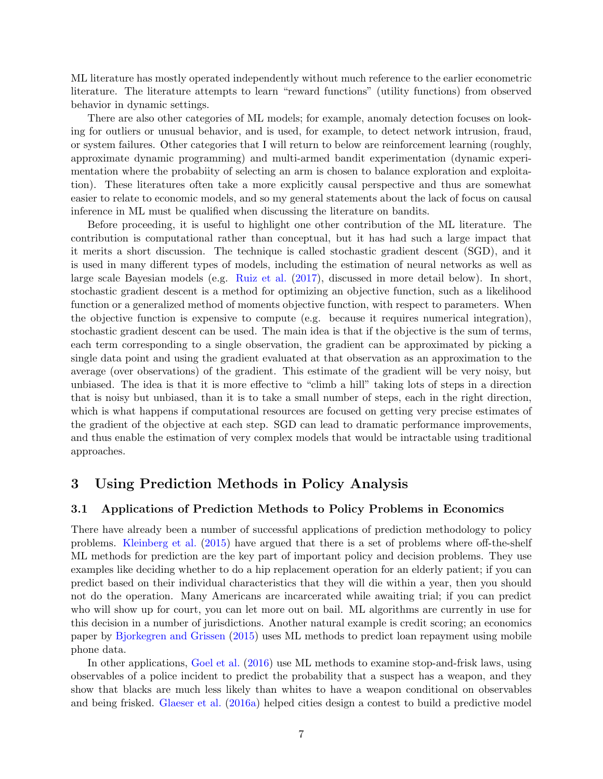ML literature has mostly operated independently without much reference to the earlier econometric literature. The literature attempts to learn "reward functions" (utility functions) from observed behavior in dynamic settings.

There are also other categories of ML models; for example, anomaly detection focuses on looking for outliers or unusual behavior, and is used, for example, to detect network intrusion, fraud, or system failures. Other categories that I will return to below are reinforcement learning (roughly, approximate dynamic programming) and multi-armed bandit experimentation (dynamic experimentation where the probabiity of selecting an arm is chosen to balance exploration and exploitation). These literatures often take a more explicitly causal perspective and thus are somewhat easier to relate to economic models, and so my general statements about the lack of focus on causal inference in ML must be qualified when discussing the literature on bandits.

Before proceeding, it is useful to highlight one other contribution of the ML literature. The contribution is computational rather than conceptual, but it has had such a large impact that it merits a short discussion. The technique is called stochastic gradient descent (SGD), and it is used in many different types of models, including the estimation of neural networks as well as large scale Bayesian models (e.g. [Ruiz et al.](#page-30-2) [\(2017\)](#page-30-2), discussed in more detail below). In short, stochastic gradient descent is a method for optimizing an objective function, such as a likelihood function or a generalized method of moments objective function, with respect to parameters. When the objective function is expensive to compute (e.g. because it requires numerical integration), stochastic gradient descent can be used. The main idea is that if the objective is the sum of terms, each term corresponding to a single observation, the gradient can be approximated by picking a single data point and using the gradient evaluated at that observation as an approximation to the average (over observations) of the gradient. This estimate of the gradient will be very noisy, but unbiased. The idea is that it is more effective to "climb a hill" taking lots of steps in a direction that is noisy but unbiased, than it is to take a small number of steps, each in the right direction, which is what happens if computational resources are focused on getting very precise estimates of the gradient of the objective at each step. SGD can lead to dramatic performance improvements, and thus enable the estimation of very complex models that would be intractable using traditional approaches.

## 3 Using Prediction Methods in Policy Analysis

#### 3.1 Applications of Prediction Methods to Policy Problems in Economics

There have already been a number of successful applications of prediction methodology to policy problems. [Kleinberg et al.](#page-29-0) [\(2015\)](#page-29-0) have argued that there is a set of problems where off-the-shelf ML methods for prediction are the key part of important policy and decision problems. They use examples like deciding whether to do a hip replacement operation for an elderly patient; if you can predict based on their individual characteristics that they will die within a year, then you should not do the operation. Many Americans are incarcerated while awaiting trial; if you can predict who will show up for court, you can let more out on bail. ML algorithms are currently in use for this decision in a number of jurisdictions. Another natural example is credit scoring; an economics paper by [Bjorkegren and Grissen](#page-27-4) [\(2015\)](#page-27-4) uses ML methods to predict loan repayment using mobile phone data.

In other applications, [Goel et al.](#page-28-2) [\(2016\)](#page-28-2) use ML methods to examine stop-and-frisk laws, using observables of a police incident to predict the probability that a suspect has a weapon, and they show that blacks are much less likely than whites to have a weapon conditional on observables and being frisked. [Glaeser et al.](#page-28-3) [\(2016a\)](#page-28-3) helped cities design a contest to build a predictive model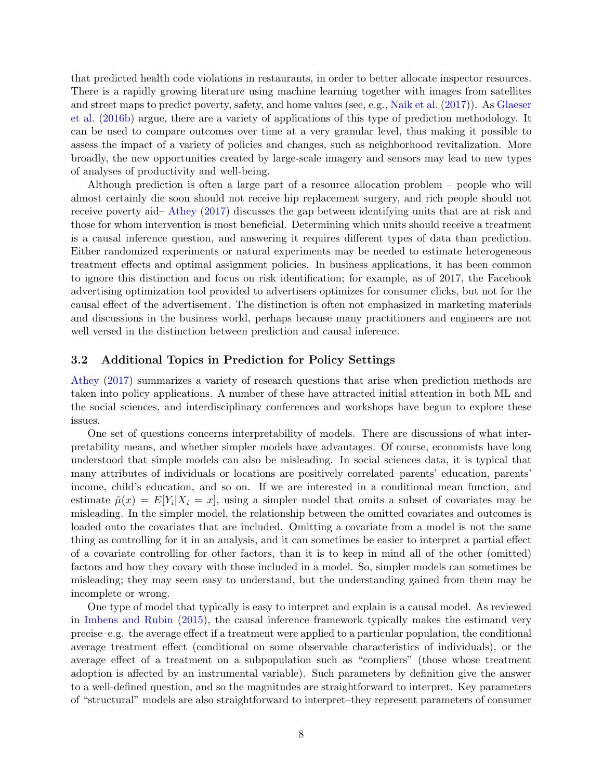that predicted health code violations in restaurants, in order to better allocate inspector resources. There is a rapidly growing literature using machine learning together with images from satellites and street maps to predict poverty, safety, and home values (see, e.g., [Naik et al.](#page-29-5) [\(2017\)](#page-29-5)). As [Glaeser](#page-28-4) [et al.](#page-28-4) [\(2016b\)](#page-28-4) argue, there are a variety of applications of this type of prediction methodology. It can be used to compare outcomes over time at a very granular level, thus making it possible to assess the impact of a variety of policies and changes, such as neighborhood revitalization. More broadly, the new opportunities created by large-scale imagery and sensors may lead to new types of analyses of productivity and well-being.

Although prediction is often a large part of a resource allocation problem – people who will almost certainly die soon should not receive hip replacement surgery, and rich people should not receive poverty aid– [Athey](#page-26-1) [\(2017\)](#page-26-1) discusses the gap between identifying units that are at risk and those for whom intervention is most beneficial. Determining which units should receive a treatment is a causal inference question, and answering it requires different types of data than prediction. Either randomized experiments or natural experiments may be needed to estimate heterogeneous treatment effects and optimal assignment policies. In business applications, it has been common to ignore this distinction and focus on risk identification; for example, as of 2017, the Facebook advertising optimization tool provided to advertisers optimizes for consumer clicks, but not for the causal effect of the advertisement. The distinction is often not emphasized in marketing materials and discussions in the business world, perhaps because many practitioners and engineers are not well versed in the distinction between prediction and causal inference.

#### 3.2 Additional Topics in Prediction for Policy Settings

[Athey](#page-26-1) [\(2017\)](#page-26-1) summarizes a variety of research questions that arise when prediction methods are taken into policy applications. A number of these have attracted initial attention in both ML and the social sciences, and interdisciplinary conferences and workshops have begun to explore these issues.

One set of questions concerns interpretability of models. There are discussions of what interpretability means, and whether simpler models have advantages. Of course, economists have long understood that simple models can also be misleading. In social sciences data, it is typical that many attributes of individuals or locations are positively correlated–parents' education, parents' income, child's education, and so on. If we are interested in a conditional mean function, and estimate  $\hat{\mu}(x) = E[Y_i | X_i = x]$ , using a simpler model that omits a subset of covariates may be misleading. In the simpler model, the relationship between the omitted covariates and outcomes is loaded onto the covariates that are included. Omitting a covariate from a model is not the same thing as controlling for it in an analysis, and it can sometimes be easier to interpret a partial effect of a covariate controlling for other factors, than it is to keep in mind all of the other (omitted) factors and how they covary with those included in a model. So, simpler models can sometimes be misleading; they may seem easy to understand, but the understanding gained from them may be incomplete or wrong.

One type of model that typically is easy to interpret and explain is a causal model. As reviewed in [Imbens and Rubin](#page-29-6) [\(2015\)](#page-29-6), the causal inference framework typically makes the estimand very precise–e.g. the average effect if a treatment were applied to a particular population, the conditional average treatment effect (conditional on some observable characteristics of individuals), or the average effect of a treatment on a subpopulation such as "compliers" (those whose treatment adoption is affected by an instrumental variable). Such parameters by definition give the answer to a well-defined question, and so the magnitudes are straightforward to interpret. Key parameters of "structural" models are also straightforward to interpret–they represent parameters of consumer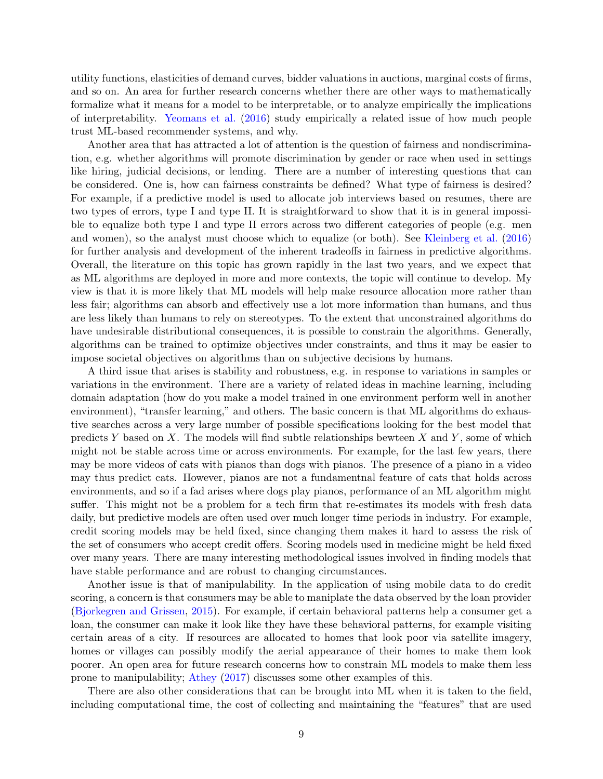utility functions, elasticities of demand curves, bidder valuations in auctions, marginal costs of firms, and so on. An area for further research concerns whether there are other ways to mathematically formalize what it means for a model to be interpretable, or to analyze empirically the implications of interpretability. [Yeomans et al.](#page-30-3) [\(2016\)](#page-30-3) study empirically a related issue of how much people trust ML-based recommender systems, and why.

Another area that has attracted a lot of attention is the question of fairness and nondiscrimination, e.g. whether algorithms will promote discrimination by gender or race when used in settings like hiring, judicial decisions, or lending. There are a number of interesting questions that can be considered. One is, how can fairness constraints be defined? What type of fairness is desired? For example, if a predictive model is used to allocate job interviews based on resumes, there are two types of errors, type I and type II. It is straightforward to show that it is in general impossible to equalize both type I and type II errors across two different categories of people (e.g. men and women), so the analyst must choose which to equalize (or both). See [Kleinberg et al.](#page-29-7) [\(2016\)](#page-29-7) for further analysis and development of the inherent tradeoffs in fairness in predictive algorithms. Overall, the literature on this topic has grown rapidly in the last two years, and we expect that as ML algorithms are deployed in more and more contexts, the topic will continue to develop. My view is that it is more likely that ML models will help make resource allocation more rather than less fair; algorithms can absorb and effectively use a lot more information than humans, and thus are less likely than humans to rely on stereotypes. To the extent that unconstrained algorithms do have undesirable distributional consequences, it is possible to constrain the algorithms. Generally, algorithms can be trained to optimize objectives under constraints, and thus it may be easier to impose societal objectives on algorithms than on subjective decisions by humans.

A third issue that arises is stability and robustness, e.g. in response to variations in samples or variations in the environment. There are a variety of related ideas in machine learning, including domain adaptation (how do you make a model trained in one environment perform well in another environment), "transfer learning," and others. The basic concern is that ML algorithms do exhaustive searches across a very large number of possible specifications looking for the best model that predicts Y based on X. The models will find subtle relationships bewteen X and Y, some of which might not be stable across time or across environments. For example, for the last few years, there may be more videos of cats with pianos than dogs with pianos. The presence of a piano in a video may thus predict cats. However, pianos are not a fundamentnal feature of cats that holds across environments, and so if a fad arises where dogs play pianos, performance of an ML algorithm might suffer. This might not be a problem for a tech firm that re-estimates its models with fresh data daily, but predictive models are often used over much longer time periods in industry. For example, credit scoring models may be held fixed, since changing them makes it hard to assess the risk of the set of consumers who accept credit offers. Scoring models used in medicine might be held fixed over many years. There are many interesting methodological issues involved in finding models that have stable performance and are robust to changing circumstances.

Another issue is that of manipulability. In the application of using mobile data to do credit scoring, a concern is that consumers may be able to maniplate the data observed by the loan provider [\(Bjorkegren and Grissen,](#page-27-4) [2015\)](#page-27-4). For example, if certain behavioral patterns help a consumer get a loan, the consumer can make it look like they have these behavioral patterns, for example visiting certain areas of a city. If resources are allocated to homes that look poor via satellite imagery, homes or villages can possibly modify the aerial appearance of their homes to make them look poorer. An open area for future research concerns how to constrain ML models to make them less prone to manipulability; [Athey](#page-26-1) [\(2017\)](#page-26-1) discusses some other examples of this.

There are also other considerations that can be brought into ML when it is taken to the field, including computational time, the cost of collecting and maintaining the "features" that are used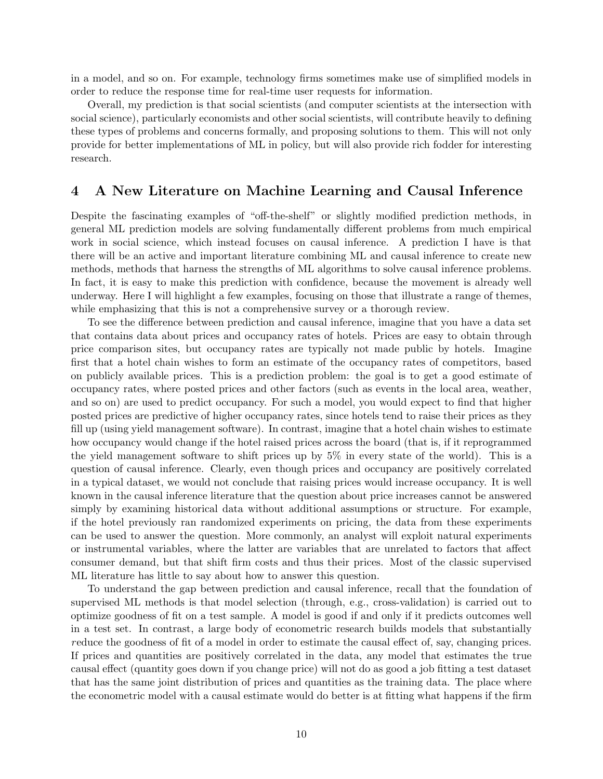in a model, and so on. For example, technology firms sometimes make use of simplified models in order to reduce the response time for real-time user requests for information.

Overall, my prediction is that social scientists (and computer scientists at the intersection with social science), particularly economists and other social scientists, will contribute heavily to defining these types of problems and concerns formally, and proposing solutions to them. This will not only provide for better implementations of ML in policy, but will also provide rich fodder for interesting research.

### 4 A New Literature on Machine Learning and Causal Inference

Despite the fascinating examples of "off-the-shelf" or slightly modified prediction methods, in general ML prediction models are solving fundamentally different problems from much empirical work in social science, which instead focuses on causal inference. A prediction I have is that there will be an active and important literature combining ML and causal inference to create new methods, methods that harness the strengths of ML algorithms to solve causal inference problems. In fact, it is easy to make this prediction with confidence, because the movement is already well underway. Here I will highlight a few examples, focusing on those that illustrate a range of themes, while emphasizing that this is not a comprehensive survey or a thorough review.

To see the difference between prediction and causal inference, imagine that you have a data set that contains data about prices and occupancy rates of hotels. Prices are easy to obtain through price comparison sites, but occupancy rates are typically not made public by hotels. Imagine first that a hotel chain wishes to form an estimate of the occupancy rates of competitors, based on publicly available prices. This is a prediction problem: the goal is to get a good estimate of occupancy rates, where posted prices and other factors (such as events in the local area, weather, and so on) are used to predict occupancy. For such a model, you would expect to find that higher posted prices are predictive of higher occupancy rates, since hotels tend to raise their prices as they fill up (using yield management software). In contrast, imagine that a hotel chain wishes to estimate how occupancy would change if the hotel raised prices across the board (that is, if it reprogrammed the yield management software to shift prices up by 5% in every state of the world). This is a question of causal inference. Clearly, even though prices and occupancy are positively correlated in a typical dataset, we would not conclude that raising prices would increase occupancy. It is well known in the causal inference literature that the question about price increases cannot be answered simply by examining historical data without additional assumptions or structure. For example, if the hotel previously ran randomized experiments on pricing, the data from these experiments can be used to answer the question. More commonly, an analyst will exploit natural experiments or instrumental variables, where the latter are variables that are unrelated to factors that affect consumer demand, but that shift firm costs and thus their prices. Most of the classic supervised ML literature has little to say about how to answer this question.

To understand the gap between prediction and causal inference, recall that the foundation of supervised ML methods is that model selection (through, e.g., cross-validation) is carried out to optimize goodness of fit on a test sample. A model is good if and only if it predicts outcomes well in a test set. In contrast, a large body of econometric research builds models that substantially reduce the goodness of fit of a model in order to estimate the causal effect of, say, changing prices. If prices and quantities are positively correlated in the data, any model that estimates the true causal effect (quantity goes down if you change price) will not do as good a job fitting a test dataset that has the same joint distribution of prices and quantities as the training data. The place where the econometric model with a causal estimate would do better is at fitting what happens if the firm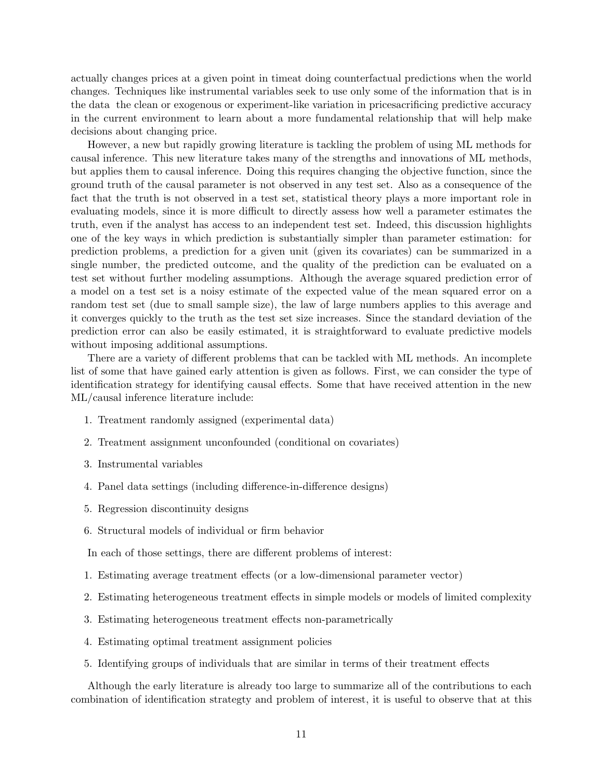actually changes prices at a given point in timeat doing counterfactual predictions when the world changes. Techniques like instrumental variables seek to use only some of the information that is in the data the clean or exogenous or experiment-like variation in pricesacrificing predictive accuracy in the current environment to learn about a more fundamental relationship that will help make decisions about changing price.

However, a new but rapidly growing literature is tackling the problem of using ML methods for causal inference. This new literature takes many of the strengths and innovations of ML methods, but applies them to causal inference. Doing this requires changing the objective function, since the ground truth of the causal parameter is not observed in any test set. Also as a consequence of the fact that the truth is not observed in a test set, statistical theory plays a more important role in evaluating models, since it is more difficult to directly assess how well a parameter estimates the truth, even if the analyst has access to an independent test set. Indeed, this discussion highlights one of the key ways in which prediction is substantially simpler than parameter estimation: for prediction problems, a prediction for a given unit (given its covariates) can be summarized in a single number, the predicted outcome, and the quality of the prediction can be evaluated on a test set without further modeling assumptions. Although the average squared prediction error of a model on a test set is a noisy estimate of the expected value of the mean squared error on a random test set (due to small sample size), the law of large numbers applies to this average and it converges quickly to the truth as the test set size increases. Since the standard deviation of the prediction error can also be easily estimated, it is straightforward to evaluate predictive models without imposing additional assumptions.

There are a variety of different problems that can be tackled with ML methods. An incomplete list of some that have gained early attention is given as follows. First, we can consider the type of identification strategy for identifying causal effects. Some that have received attention in the new ML/causal inference literature include:

- 1. Treatment randomly assigned (experimental data)
- 2. Treatment assignment unconfounded (conditional on covariates)
- 3. Instrumental variables
- 4. Panel data settings (including difference-in-difference designs)
- 5. Regression discontinuity designs
- 6. Structural models of individual or firm behavior

In each of those settings, there are different problems of interest:

- 1. Estimating average treatment effects (or a low-dimensional parameter vector)
- 2. Estimating heterogeneous treatment effects in simple models or models of limited complexity
- 3. Estimating heterogeneous treatment effects non-parametrically
- 4. Estimating optimal treatment assignment policies
- 5. Identifying groups of individuals that are similar in terms of their treatment effects

Although the early literature is already too large to summarize all of the contributions to each combination of identification strategty and problem of interest, it is useful to observe that at this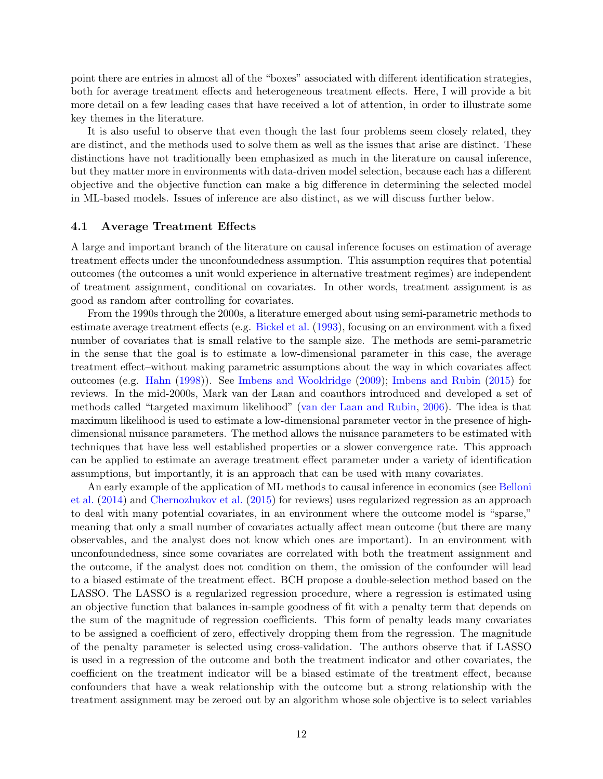point there are entries in almost all of the "boxes" associated with different identification strategies, both for average treatment effects and heterogeneous treatment effects. Here, I will provide a bit more detail on a few leading cases that have received a lot of attention, in order to illustrate some key themes in the literature.

It is also useful to observe that even though the last four problems seem closely related, they are distinct, and the methods used to solve them as well as the issues that arise are distinct. These distinctions have not traditionally been emphasized as much in the literature on causal inference, but they matter more in environments with data-driven model selection, because each has a different objective and the objective function can make a big difference in determining the selected model in ML-based models. Issues of inference are also distinct, as we will discuss further below.

#### 4.1 Average Treatment Effects

A large and important branch of the literature on causal inference focuses on estimation of average treatment effects under the unconfoundedness assumption. This assumption requires that potential outcomes (the outcomes a unit would experience in alternative treatment regimes) are independent of treatment assignment, conditional on covariates. In other words, treatment assignment is as good as random after controlling for covariates.

From the 1990s through the 2000s, a literature emerged about using semi-parametric methods to estimate average treatment effects (e.g. [Bickel et al.](#page-27-5) [\(1993\)](#page-27-5), focusing on an environment with a fixed number of covariates that is small relative to the sample size. The methods are semi-parametric in the sense that the goal is to estimate a low-dimensional parameter–in this case, the average treatment effect–without making parametric assumptions about the way in which covariates affect outcomes (e.g. [Hahn](#page-28-5) [\(1998\)](#page-28-5)). See [Imbens and Wooldridge](#page-29-8) [\(2009\)](#page-29-8); [Imbens and Rubin](#page-29-6) [\(2015\)](#page-29-6) for reviews. In the mid-2000s, Mark van der Laan and coauthors introduced and developed a set of methods called "targeted maximum likelihood" [\(van der Laan and Rubin,](#page-30-4) [2006\)](#page-30-4). The idea is that maximum likelihood is used to estimate a low-dimensional parameter vector in the presence of highdimensional nuisance parameters. The method allows the nuisance parameters to be estimated with techniques that have less well established properties or a slower convergence rate. This approach can be applied to estimate an average treatment effect parameter under a variety of identification assumptions, but importantly, it is an approach that can be used with many covariates.

An early example of the application of ML methods to causal inference in economics (see [Belloni](#page-27-6) [et al.](#page-27-6) [\(2014\)](#page-27-6) and [Chernozhukov et al.](#page-28-6) [\(2015\)](#page-28-6) for reviews) uses regularized regression as an approach to deal with many potential covariates, in an environment where the outcome model is "sparse," meaning that only a small number of covariates actually affect mean outcome (but there are many observables, and the analyst does not know which ones are important). In an environment with unconfoundedness, since some covariates are correlated with both the treatment assignment and the outcome, if the analyst does not condition on them, the omission of the confounder will lead to a biased estimate of the treatment effect. BCH propose a double-selection method based on the LASSO. The LASSO is a regularized regression procedure, where a regression is estimated using an objective function that balances in-sample goodness of fit with a penalty term that depends on the sum of the magnitude of regression coefficients. This form of penalty leads many covariates to be assigned a coefficient of zero, effectively dropping them from the regression. The magnitude of the penalty parameter is selected using cross-validation. The authors observe that if LASSO is used in a regression of the outcome and both the treatment indicator and other covariates, the coefficient on the treatment indicator will be a biased estimate of the treatment effect, because confounders that have a weak relationship with the outcome but a strong relationship with the treatment assignment may be zeroed out by an algorithm whose sole objective is to select variables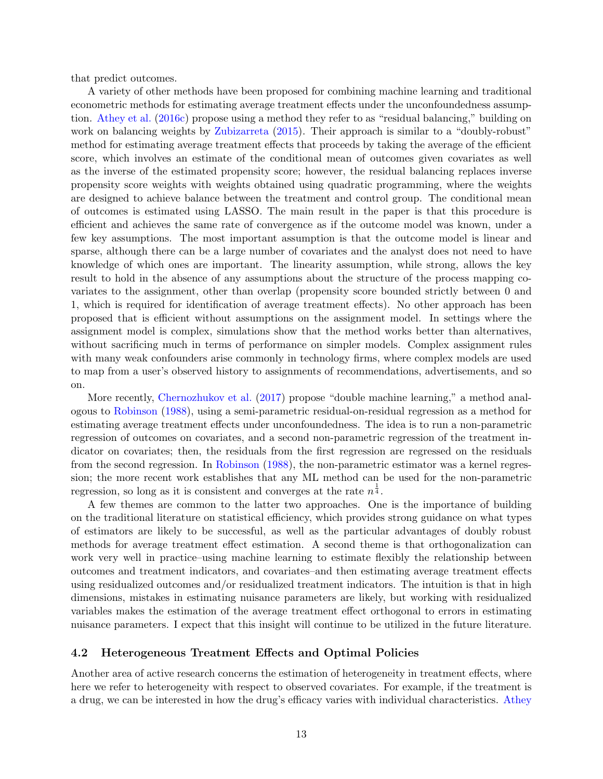that predict outcomes.

A variety of other methods have been proposed for combining machine learning and traditional econometric methods for estimating average treatment effects under the unconfoundedness assumption. [Athey et al.](#page-27-7) [\(2016c\)](#page-27-7) propose using a method they refer to as "residual balancing," building on work on balancing weights by [Zubizarreta](#page-30-5) [\(2015\)](#page-30-5). Their approach is similar to a "doubly-robust" method for estimating average treatment effects that proceeds by taking the average of the efficient score, which involves an estimate of the conditional mean of outcomes given covariates as well as the inverse of the estimated propensity score; however, the residual balancing replaces inverse propensity score weights with weights obtained using quadratic programming, where the weights are designed to achieve balance between the treatment and control group. The conditional mean of outcomes is estimated using LASSO. The main result in the paper is that this procedure is efficient and achieves the same rate of convergence as if the outcome model was known, under a few key assumptions. The most important assumption is that the outcome model is linear and sparse, although there can be a large number of covariates and the analyst does not need to have knowledge of which ones are important. The linearity assumption, while strong, allows the key result to hold in the absence of any assumptions about the structure of the process mapping covariates to the assignment, other than overlap (propensity score bounded strictly between 0 and 1, which is required for identification of average treatment effects). No other approach has been proposed that is efficient without assumptions on the assignment model. In settings where the assignment model is complex, simulations show that the method works better than alternatives, without sacrificing much in terms of performance on simpler models. Complex assignment rules with many weak confounders arise commonly in technology firms, where complex models are used to map from a user's observed history to assignments of recommendations, advertisements, and so on.

More recently, [Chernozhukov et al.](#page-28-7) [\(2017\)](#page-28-7) propose "double machine learning," a method analogous to [Robinson](#page-30-6) [\(1988\)](#page-30-6), using a semi-parametric residual-on-residual regression as a method for estimating average treatment effects under unconfoundedness. The idea is to run a non-parametric regression of outcomes on covariates, and a second non-parametric regression of the treatment indicator on covariates; then, the residuals from the first regression are regressed on the residuals from the second regression. In [Robinson](#page-30-6) [\(1988\)](#page-30-6), the non-parametric estimator was a kernel regression; the more recent work establishes that any ML method can be used for the non-parametric regression, so long as it is consistent and converges at the rate  $n^{\frac{1}{4}}$ .

A few themes are common to the latter two approaches. One is the importance of building on the traditional literature on statistical efficiency, which provides strong guidance on what types of estimators are likely to be successful, as well as the particular advantages of doubly robust methods for average treatment effect estimation. A second theme is that orthogonalization can work very well in practice–using machine learning to estimate flexibly the relationship between outcomes and treatment indicators, and covariates–and then estimating average treatment effects using residualized outcomes and/or residualized treatment indicators. The intuition is that in high dimensions, mistakes in estimating nuisance parameters are likely, but working with residualized variables makes the estimation of the average treatment effect orthogonal to errors in estimating nuisance parameters. I expect that this insight will continue to be utilized in the future literature.

#### 4.2 Heterogeneous Treatment Effects and Optimal Policies

Another area of active research concerns the estimation of heterogeneity in treatment effects, where here we refer to heterogeneity with respect to observed covariates. For example, if the treatment is a drug, we can be interested in how the drug's efficacy varies with individual characteristics. [Athey](#page-27-8)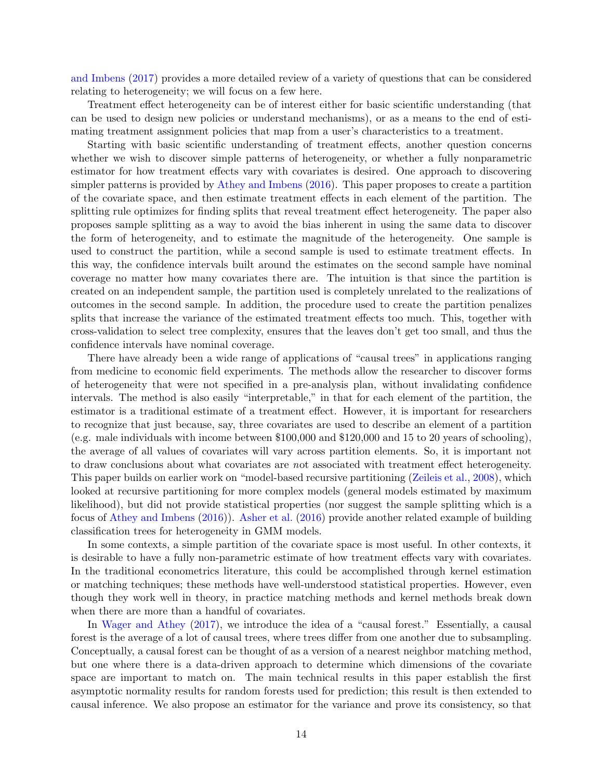[and Imbens](#page-27-8) [\(2017\)](#page-27-8) provides a more detailed review of a variety of questions that can be considered relating to heterogeneity; we will focus on a few here.

Treatment effect heterogeneity can be of interest either for basic scientific understanding (that can be used to design new policies or understand mechanisms), or as a means to the end of estimating treatment assignment policies that map from a user's characteristics to a treatment.

Starting with basic scientific understanding of treatment effects, another question concerns whether we wish to discover simple patterns of heterogeneity, or whether a fully nonparametric estimator for how treatment effects vary with covariates is desired. One approach to discovering simpler patterns is provided by [Athey and Imbens](#page-26-2) [\(2016\)](#page-26-2). This paper proposes to create a partition of the covariate space, and then estimate treatment effects in each element of the partition. The splitting rule optimizes for finding splits that reveal treatment effect heterogeneity. The paper also proposes sample splitting as a way to avoid the bias inherent in using the same data to discover the form of heterogeneity, and to estimate the magnitude of the heterogeneity. One sample is used to construct the partition, while a second sample is used to estimate treatment effects. In this way, the confidence intervals built around the estimates on the second sample have nominal coverage no matter how many covariates there are. The intuition is that since the partition is created on an independent sample, the partition used is completely unrelated to the realizations of outcomes in the second sample. In addition, the procedure used to create the partition penalizes splits that increase the variance of the estimated treatment effects too much. This, together with cross-validation to select tree complexity, ensures that the leaves don't get too small, and thus the confidence intervals have nominal coverage.

There have already been a wide range of applications of "causal trees" in applications ranging from medicine to economic field experiments. The methods allow the researcher to discover forms of heterogeneity that were not specified in a pre-analysis plan, without invalidating confidence intervals. The method is also easily "interpretable," in that for each element of the partition, the estimator is a traditional estimate of a treatment effect. However, it is important for researchers to recognize that just because, say, three covariates are used to describe an element of a partition (e.g. male individuals with income between \$100,000 and \$120,000 and 15 to 20 years of schooling), the average of all values of covariates will vary across partition elements. So, it is important not to draw conclusions about what covariates are not associated with treatment effect heterogeneity. This paper builds on earlier work on "model-based recursive partitioning [\(Zeileis et al.,](#page-30-7) [2008\)](#page-30-7), which looked at recursive partitioning for more complex models (general models estimated by maximum likelihood), but did not provide statistical properties (nor suggest the sample splitting which is a focus of [Athey and Imbens](#page-26-2) [\(2016\)](#page-26-2)). [Asher et al.](#page-26-3) [\(2016\)](#page-26-3) provide another related example of building classification trees for heterogeneity in GMM models.

In some contexts, a simple partition of the covariate space is most useful. In other contexts, it is desirable to have a fully non-parametric estimate of how treatment effects vary with covariates. In the traditional econometrics literature, this could be accomplished through kernel estimation or matching techniques; these methods have well-understood statistical properties. However, even though they work well in theory, in practice matching methods and kernel methods break down when there are more than a handful of covariates.

In [Wager and Athey](#page-30-8) [\(2017\)](#page-30-8), we introduce the idea of a "causal forest." Essentially, a causal forest is the average of a lot of causal trees, where trees differ from one another due to subsampling. Conceptually, a causal forest can be thought of as a version of a nearest neighbor matching method, but one where there is a data-driven approach to determine which dimensions of the covariate space are important to match on. The main technical results in this paper establish the first asymptotic normality results for random forests used for prediction; this result is then extended to causal inference. We also propose an estimator for the variance and prove its consistency, so that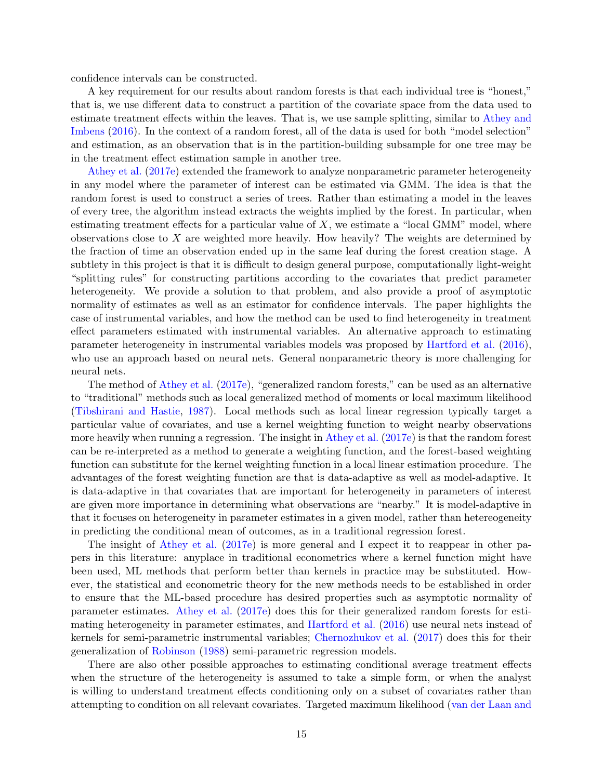confidence intervals can be constructed.

A key requirement for our results about random forests is that each individual tree is "honest," that is, we use different data to construct a partition of the covariate space from the data used to estimate treatment effects within the leaves. That is, we use sample splitting, similar to [Athey and](#page-26-2) [Imbens](#page-26-2) [\(2016\)](#page-26-2). In the context of a random forest, all of the data is used for both "model selection" and estimation, as an observation that is in the partition-building subsample for one tree may be in the treatment effect estimation sample in another tree.

[Athey et al.](#page-27-9) [\(2017e\)](#page-27-9) extended the framework to analyze nonparametric parameter heterogeneity in any model where the parameter of interest can be estimated via GMM. The idea is that the random forest is used to construct a series of trees. Rather than estimating a model in the leaves of every tree, the algorithm instead extracts the weights implied by the forest. In particular, when estimating treatment effects for a particular value of  $X$ , we estimate a "local GMM" model, where observations close to  $X$  are weighted more heavily. How heavily? The weights are determined by the fraction of time an observation ended up in the same leaf during the forest creation stage. A subtlety in this project is that it is difficult to design general purpose, computationally light-weight "splitting rules" for constructing partitions according to the covariates that predict parameter heterogeneity. We provide a solution to that problem, and also provide a proof of asymptotic normality of estimates as well as an estimator for confidence intervals. The paper highlights the case of instrumental variables, and how the method can be used to find heterogeneity in treatment effect parameters estimated with instrumental variables. An alternative approach to estimating parameter heterogeneity in instrumental variables models was proposed by [Hartford et al.](#page-28-8) [\(2016\)](#page-28-8), who use an approach based on neural nets. General nonparametric theory is more challenging for neural nets.

The method of [Athey et al.](#page-27-9) [\(2017e\)](#page-27-9), "generalized random forests," can be used as an alternative to "traditional" methods such as local generalized method of moments or local maximum likelihood [\(Tibshirani and Hastie,](#page-30-9) [1987\)](#page-30-9). Local methods such as local linear regression typically target a particular value of covariates, and use a kernel weighting function to weight nearby observations more heavily when running a regression. The insight in [Athey et al.](#page-27-9) [\(2017e\)](#page-27-9) is that the random forest can be re-interpreted as a method to generate a weighting function, and the forest-based weighting function can substitute for the kernel weighting function in a local linear estimation procedure. The advantages of the forest weighting function are that is data-adaptive as well as model-adaptive. It is data-adaptive in that covariates that are important for heterogeneity in parameters of interest are given more importance in determining what observations are "nearby." It is model-adaptive in that it focuses on heterogeneity in parameter estimates in a given model, rather than hetereogeneity in predicting the conditional mean of outcomes, as in a traditional regression forest.

The insight of [Athey et al.](#page-27-9) [\(2017e\)](#page-27-9) is more general and I expect it to reappear in other papers in this literature: anyplace in traditional econometrics where a kernel function might have been used, ML methods that perform better than kernels in practice may be substituted. However, the statistical and econometric theory for the new methods needs to be established in order to ensure that the ML-based procedure has desired properties such as asymptotic normality of parameter estimates. [Athey et al.](#page-27-9) [\(2017e\)](#page-27-9) does this for their generalized random forests for estimating heterogeneity in parameter estimates, and [Hartford et al.](#page-28-8) [\(2016\)](#page-28-8) use neural nets instead of kernels for semi-parametric instrumental variables; [Chernozhukov et al.](#page-28-7) [\(2017\)](#page-28-7) does this for their generalization of [Robinson](#page-30-6) [\(1988\)](#page-30-6) semi-parametric regression models.

There are also other possible approaches to estimating conditional average treatment effects when the structure of the heterogeneity is assumed to take a simple form, or when the analyst is willing to understand treatment effects conditioning only on a subset of covariates rather than attempting to condition on all relevant covariates. Targeted maximum likelihood [\(van der Laan and](#page-30-4)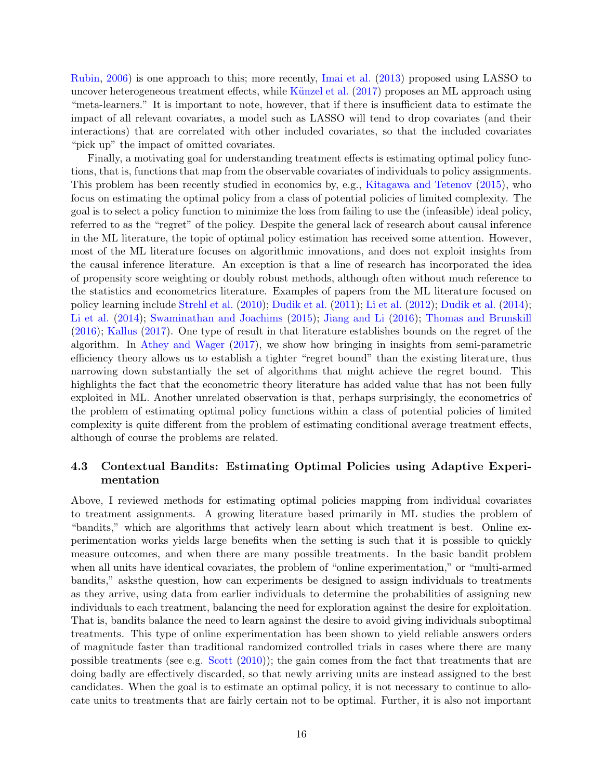[Rubin,](#page-30-4) [2006\)](#page-30-4) is one approach to this; more recently, [Imai et al.](#page-29-9) [\(2013\)](#page-29-9) proposed using LASSO to uncover heterogeneous treatment effects, while Künzel et al. [\(2017\)](#page-29-10) proposes an ML approach using "meta-learners." It is important to note, however, that if there is insufficient data to estimate the impact of all relevant covariates, a model such as LASSO will tend to drop covariates (and their interactions) that are correlated with other included covariates, so that the included covariates "pick up" the impact of omitted covariates.

Finally, a motivating goal for understanding treatment effects is estimating optimal policy functions, that is, functions that map from the observable covariates of individuals to policy assignments. This problem has been recently studied in economics by, e.g., [Kitagawa and Tetenov](#page-29-11) [\(2015\)](#page-29-11), who focus on estimating the optimal policy from a class of potential policies of limited complexity. The goal is to select a policy function to minimize the loss from failing to use the (infeasible) ideal policy, referred to as the "regret" of the policy. Despite the general lack of research about causal inference in the ML literature, the topic of optimal policy estimation has received some attention. However, most of the ML literature focuses on algorithmic innovations, and does not exploit insights from the causal inference literature. An exception is that a line of research has incorporated the idea of propensity score weighting or doubly robust methods, although often without much reference to the statistics and econometrics literature. Examples of papers from the ML literature focused on policy learning include [Strehl et al.](#page-30-10) [\(2010\)](#page-30-10); [Dudik et al.](#page-28-9) [\(2011\)](#page-28-9); [Li et al.](#page-29-12) [\(2012\)](#page-29-12); [Dudik et al.](#page-28-10) [\(2014\)](#page-28-10); [Li et al.](#page-29-13) [\(2014\)](#page-29-13); [Swaminathan and Joachims](#page-30-11) [\(2015\)](#page-30-11); [Jiang and Li](#page-29-14) [\(2016\)](#page-29-14); [Thomas and Brunskill](#page-30-12) [\(2016\)](#page-30-12); [Kallus](#page-29-15) [\(2017\)](#page-29-15). One type of result in that literature establishes bounds on the regret of the algorithm. In [Athey and Wager](#page-27-10) [\(2017\)](#page-27-10), we show how bringing in insights from semi-parametric efficiency theory allows us to establish a tighter "regret bound" than the existing literature, thus narrowing down substantially the set of algorithms that might achieve the regret bound. This highlights the fact that the econometric theory literature has added value that has not been fully exploited in ML. Another unrelated observation is that, perhaps surprisingly, the econometrics of the problem of estimating optimal policy functions within a class of potential policies of limited complexity is quite different from the problem of estimating conditional average treatment effects, although of course the problems are related.

### 4.3 Contextual Bandits: Estimating Optimal Policies using Adaptive Experimentation

Above, I reviewed methods for estimating optimal policies mapping from individual covariates to treatment assignments. A growing literature based primarily in ML studies the problem of "bandits," which are algorithms that actively learn about which treatment is best. Online experimentation works yields large benefits when the setting is such that it is possible to quickly measure outcomes, and when there are many possible treatments. In the basic bandit problem when all units have identical covariates, the problem of "online experimentation," or "multi-armed bandits," asksthe question, how can experiments be designed to assign individuals to treatments as they arrive, using data from earlier individuals to determine the probabilities of assigning new individuals to each treatment, balancing the need for exploration against the desire for exploitation. That is, bandits balance the need to learn against the desire to avoid giving individuals suboptimal treatments. This type of online experimentation has been shown to yield reliable answers orders of magnitude faster than traditional randomized controlled trials in cases where there are many possible treatments (see e.g. [Scott](#page-30-13) [\(2010\)](#page-30-13)); the gain comes from the fact that treatments that are doing badly are effectively discarded, so that newly arriving units are instead assigned to the best candidates. When the goal is to estimate an optimal policy, it is not necessary to continue to allocate units to treatments that are fairly certain not to be optimal. Further, it is also not important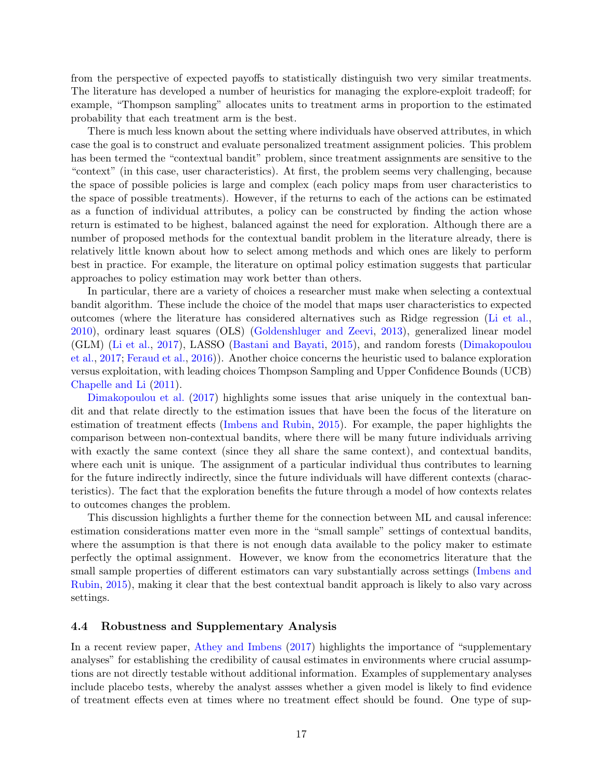from the perspective of expected payoffs to statistically distinguish two very similar treatments. The literature has developed a number of heuristics for managing the explore-exploit tradeoff; for example, "Thompson sampling" allocates units to treatment arms in proportion to the estimated probability that each treatment arm is the best.

There is much less known about the setting where individuals have observed attributes, in which case the goal is to construct and evaluate personalized treatment assignment policies. This problem has been termed the "contextual bandit" problem, since treatment assignments are sensitive to the "context" (in this case, user characteristics). At first, the problem seems very challenging, because the space of possible policies is large and complex (each policy maps from user characteristics to the space of possible treatments). However, if the returns to each of the actions can be estimated as a function of individual attributes, a policy can be constructed by finding the action whose return is estimated to be highest, balanced against the need for exploration. Although there are a number of proposed methods for the contextual bandit problem in the literature already, there is relatively little known about how to select among methods and which ones are likely to perform best in practice. For example, the literature on optimal policy estimation suggests that particular approaches to policy estimation may work better than others.

In particular, there are a variety of choices a researcher must make when selecting a contextual bandit algorithm. These include the choice of the model that maps user characteristics to expected outcomes (where the literature has considered alternatives such as Ridge regression [\(Li et al.,](#page-29-16) [2010\)](#page-29-16), ordinary least squares (OLS) [\(Goldenshluger and Zeevi,](#page-28-11) [2013\)](#page-28-11), generalized linear model (GLM) [\(Li et al.,](#page-29-17) [2017\)](#page-29-17), LASSO [\(Bastani and Bayati,](#page-27-11) [2015\)](#page-27-11), and random forests [\(Dimakopoulou](#page-28-12) [et al.,](#page-28-12) [2017;](#page-28-12) [Feraud et al.,](#page-28-13) [2016\)](#page-28-13)). Another choice concerns the heuristic used to balance exploration versus exploitation, with leading choices Thompson Sampling and Upper Confidence Bounds (UCB) [Chapelle and Li](#page-28-14) [\(2011\)](#page-28-14).

[Dimakopoulou et al.](#page-28-12) [\(2017\)](#page-28-12) highlights some issues that arise uniquely in the contextual bandit and that relate directly to the estimation issues that have been the focus of the literature on estimation of treatment effects [\(Imbens and Rubin,](#page-29-6) [2015\)](#page-29-6). For example, the paper highlights the comparison between non-contextual bandits, where there will be many future individuals arriving with exactly the same context (since they all share the same context), and contextual bandits, where each unit is unique. The assignment of a particular individual thus contributes to learning for the future indirectly indirectly, since the future individuals will have different contexts (characteristics). The fact that the exploration benefits the future through a model of how contexts relates to outcomes changes the problem.

This discussion highlights a further theme for the connection between ML and causal inference: estimation considerations matter even more in the "small sample" settings of contextual bandits, where the assumption is that there is not enough data available to the policy maker to estimate perfectly the optimal assignment. However, we know from the econometrics literature that the small sample properties of different estimators can vary substantially across settings [\(Imbens and](#page-29-6) [Rubin,](#page-29-6) [2015\)](#page-29-6), making it clear that the best contextual bandit approach is likely to also vary across settings.

#### 4.4 Robustness and Supplementary Analysis

In a recent review paper, [Athey and Imbens](#page-27-8) [\(2017\)](#page-27-8) highlights the importance of "supplementary analyses" for establishing the credibility of causal estimates in environments where crucial assumptions are not directly testable without additional information. Examples of supplementary analyses include placebo tests, whereby the analyst assses whether a given model is likely to find evidence of treatment effects even at times where no treatment effect should be found. One type of sup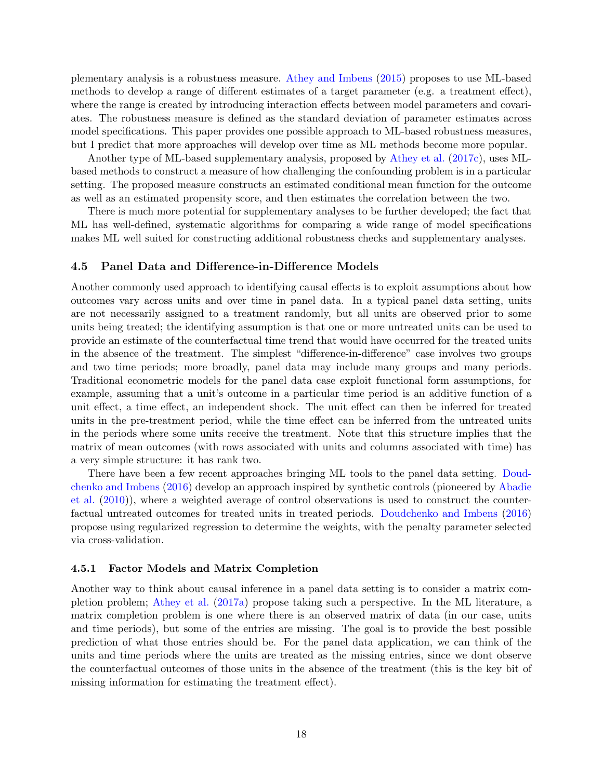plementary analysis is a robustness measure. [Athey and Imbens](#page-26-4) [\(2015\)](#page-26-4) proposes to use ML-based methods to develop a range of different estimates of a target parameter (e.g. a treatment effect), where the range is created by introducing interaction effects between model parameters and covariates. The robustness measure is defined as the standard deviation of parameter estimates across model specifications. This paper provides one possible approach to ML-based robustness measures, but I predict that more approaches will develop over time as ML methods become more popular.

Another type of ML-based supplementary analysis, proposed by [Athey et al.](#page-27-12) [\(2017c\)](#page-27-12), uses MLbased methods to construct a measure of how challenging the confounding problem is in a particular setting. The proposed measure constructs an estimated conditional mean function for the outcome as well as an estimated propensity score, and then estimates the correlation between the two.

There is much more potential for supplementary analyses to be further developed; the fact that ML has well-defined, systematic algorithms for comparing a wide range of model specifications makes ML well suited for constructing additional robustness checks and supplementary analyses.

#### 4.5 Panel Data and Difference-in-Difference Models

Another commonly used approach to identifying causal effects is to exploit assumptions about how outcomes vary across units and over time in panel data. In a typical panel data setting, units are not necessarily assigned to a treatment randomly, but all units are observed prior to some units being treated; the identifying assumption is that one or more untreated units can be used to provide an estimate of the counterfactual time trend that would have occurred for the treated units in the absence of the treatment. The simplest "difference-in-difference" case involves two groups and two time periods; more broadly, panel data may include many groups and many periods. Traditional econometric models for the panel data case exploit functional form assumptions, for example, assuming that a unit's outcome in a particular time period is an additive function of a unit effect, a time effect, an independent shock. The unit effect can then be inferred for treated units in the pre-treatment period, while the time effect can be inferred from the untreated units in the periods where some units receive the treatment. Note that this structure implies that the matrix of mean outcomes (with rows associated with units and columns associated with time) has a very simple structure: it has rank two.

There have been a few recent approaches bringing ML tools to the panel data setting. [Doud](#page-28-15)[chenko and Imbens](#page-28-15) [\(2016\)](#page-28-15) develop an approach inspired by synthetic controls (pioneered by [Abadie](#page-26-5) [et al.](#page-26-5) [\(2010\)](#page-26-5)), where a weighted average of control observations is used to construct the counterfactual untreated outcomes for treated units in treated periods. [Doudchenko and Imbens](#page-28-15) [\(2016\)](#page-28-15) propose using regularized regression to determine the weights, with the penalty parameter selected via cross-validation.

#### 4.5.1 Factor Models and Matrix Completion

Another way to think about causal inference in a panel data setting is to consider a matrix completion problem; [Athey et al.](#page-27-13) [\(2017a\)](#page-27-13) propose taking such a perspective. In the ML literature, a matrix completion problem is one where there is an observed matrix of data (in our case, units and time periods), but some of the entries are missing. The goal is to provide the best possible prediction of what those entries should be. For the panel data application, we can think of the units and time periods where the units are treated as the missing entries, since we dont observe the counterfactual outcomes of those units in the absence of the treatment (this is the key bit of missing information for estimating the treatment effect).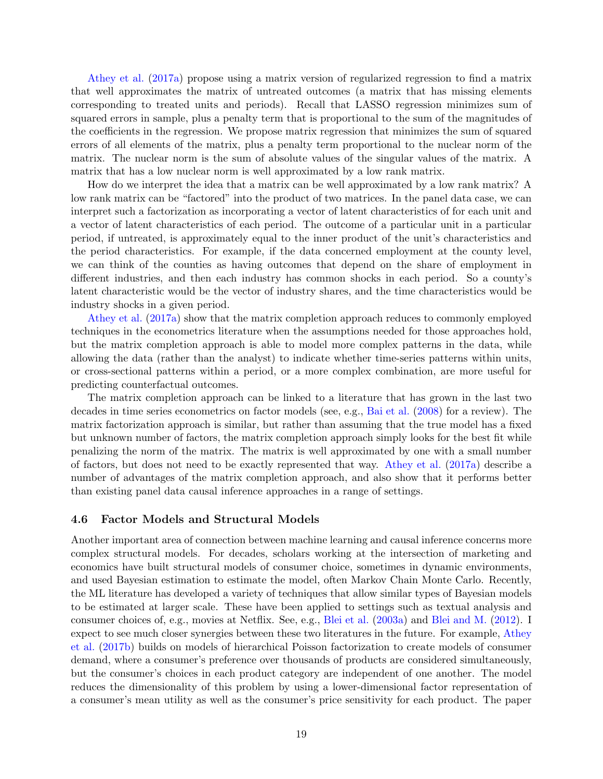[Athey et al.](#page-27-13) [\(2017a\)](#page-27-13) propose using a matrix version of regularized regression to find a matrix that well approximates the matrix of untreated outcomes (a matrix that has missing elements corresponding to treated units and periods). Recall that LASSO regression minimizes sum of squared errors in sample, plus a penalty term that is proportional to the sum of the magnitudes of the coefficients in the regression. We propose matrix regression that minimizes the sum of squared errors of all elements of the matrix, plus a penalty term proportional to the nuclear norm of the matrix. The nuclear norm is the sum of absolute values of the singular values of the matrix. A matrix that has a low nuclear norm is well approximated by a low rank matrix.

How do we interpret the idea that a matrix can be well approximated by a low rank matrix? A low rank matrix can be "factored" into the product of two matrices. In the panel data case, we can interpret such a factorization as incorporating a vector of latent characteristics of for each unit and a vector of latent characteristics of each period. The outcome of a particular unit in a particular period, if untreated, is approximately equal to the inner product of the unit's characteristics and the period characteristics. For example, if the data concerned employment at the county level, we can think of the counties as having outcomes that depend on the share of employment in different industries, and then each industry has common shocks in each period. So a county's latent characteristic would be the vector of industry shares, and the time characteristics would be industry shocks in a given period.

[Athey et al.](#page-27-13) [\(2017a\)](#page-27-13) show that the matrix completion approach reduces to commonly employed techniques in the econometrics literature when the assumptions needed for those approaches hold, but the matrix completion approach is able to model more complex patterns in the data, while allowing the data (rather than the analyst) to indicate whether time-series patterns within units, or cross-sectional patterns within a period, or a more complex combination, are more useful for predicting counterfactual outcomes.

The matrix completion approach can be linked to a literature that has grown in the last two decades in time series econometrics on factor models (see, e.g., [Bai et al.](#page-27-14) [\(2008\)](#page-27-14) for a review). The matrix factorization approach is similar, but rather than assuming that the true model has a fixed but unknown number of factors, the matrix completion approach simply looks for the best fit while penalizing the norm of the matrix. The matrix is well approximated by one with a small number of factors, but does not need to be exactly represented that way. [Athey et al.](#page-27-13) [\(2017a\)](#page-27-13) describe a number of advantages of the matrix completion approach, and also show that it performs better than existing panel data causal inference approaches in a range of settings.

#### 4.6 Factor Models and Structural Models

Another important area of connection between machine learning and causal inference concerns more complex structural models. For decades, scholars working at the intersection of marketing and economics have built structural models of consumer choice, sometimes in dynamic environments, and used Bayesian estimation to estimate the model, often Markov Chain Monte Carlo. Recently, the ML literature has developed a variety of techniques that allow similar types of Bayesian models to be estimated at larger scale. These have been applied to settings such as textual analysis and consumer choices of, e.g., movies at Netflix. See, e.g., [Blei et al.](#page-27-15) [\(2003a\)](#page-27-15) and [Blei and M.](#page-27-16) [\(2012\)](#page-27-16). I expect to see much closer synergies between these two literatures in the future. For example, [Athey](#page-27-17) [et al.](#page-27-17) [\(2017b\)](#page-27-17) builds on models of hierarchical Poisson factorization to create models of consumer demand, where a consumer's preference over thousands of products are considered simultaneously, but the consumer's choices in each product category are independent of one another. The model reduces the dimensionality of this problem by using a lower-dimensional factor representation of a consumer's mean utility as well as the consumer's price sensitivity for each product. The paper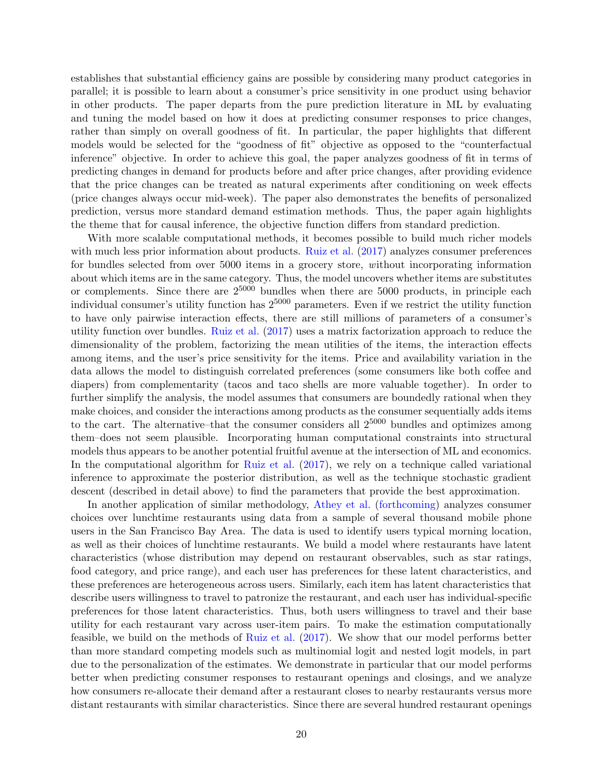establishes that substantial efficiency gains are possible by considering many product categories in parallel; it is possible to learn about a consumer's price sensitivity in one product using behavior in other products. The paper departs from the pure prediction literature in ML by evaluating and tuning the model based on how it does at predicting consumer responses to price changes, rather than simply on overall goodness of fit. In particular, the paper highlights that different models would be selected for the "goodness of fit" objective as opposed to the "counterfactual inference" objective. In order to achieve this goal, the paper analyzes goodness of fit in terms of predicting changes in demand for products before and after price changes, after providing evidence that the price changes can be treated as natural experiments after conditioning on week effects (price changes always occur mid-week). The paper also demonstrates the benefits of personalized prediction, versus more standard demand estimation methods. Thus, the paper again highlights the theme that for causal inference, the objective function differs from standard prediction.

With more scalable computational methods, it becomes possible to build much richer models with much less prior information about products. [Ruiz et al.](#page-30-2) [\(2017\)](#page-30-2) analyzes consumer preferences for bundles selected from over 5000 items in a grocery store, without incorporating information about which items are in the same category. Thus, the model uncovers whether items are substitutes or complements. Since there are  $2^{5000}$  bundles when there are 5000 products, in principle each individual consumer's utility function has 2<sup>5000</sup> parameters. Even if we restrict the utility function to have only pairwise interaction effects, there are still millions of parameters of a consumer's utility function over bundles. [Ruiz et al.](#page-30-2) [\(2017\)](#page-30-2) uses a matrix factorization approach to reduce the dimensionality of the problem, factorizing the mean utilities of the items, the interaction effects among items, and the user's price sensitivity for the items. Price and availability variation in the data allows the model to distinguish correlated preferences (some consumers like both coffee and diapers) from complementarity (tacos and taco shells are more valuable together). In order to further simplify the analysis, the model assumes that consumers are boundedly rational when they make choices, and consider the interactions among products as the consumer sequentially adds items to the cart. The alternative–that the consumer considers all  $2^{5000}$  bundles and optimizes among them–does not seem plausible. Incorporating human computational constraints into structural models thus appears to be another potential fruitful avenue at the intersection of ML and economics. In the computational algorithm for [Ruiz et al.](#page-30-2) [\(2017\)](#page-30-2), we rely on a technique called variational inference to approximate the posterior distribution, as well as the technique stochastic gradient descent (described in detail above) to find the parameters that provide the best approximation.

In another application of similar methodology, [Athey et al.](#page-27-18) [\(forthcoming\)](#page-27-18) analyzes consumer choices over lunchtime restaurants using data from a sample of several thousand mobile phone users in the San Francisco Bay Area. The data is used to identify users typical morning location, as well as their choices of lunchtime restaurants. We build a model where restaurants have latent characteristics (whose distribution may depend on restaurant observables, such as star ratings, food category, and price range), and each user has preferences for these latent characteristics, and these preferences are heterogeneous across users. Similarly, each item has latent characteristics that describe users willingness to travel to patronize the restaurant, and each user has individual-specific preferences for those latent characteristics. Thus, both users willingness to travel and their base utility for each restaurant vary across user-item pairs. To make the estimation computationally feasible, we build on the methods of [Ruiz et al.](#page-30-2) [\(2017\)](#page-30-2). We show that our model performs better than more standard competing models such as multinomial logit and nested logit models, in part due to the personalization of the estimates. We demonstrate in particular that our model performs better when predicting consumer responses to restaurant openings and closings, and we analyze how consumers re-allocate their demand after a restaurant closes to nearby restaurants versus more distant restaurants with similar characteristics. Since there are several hundred restaurant openings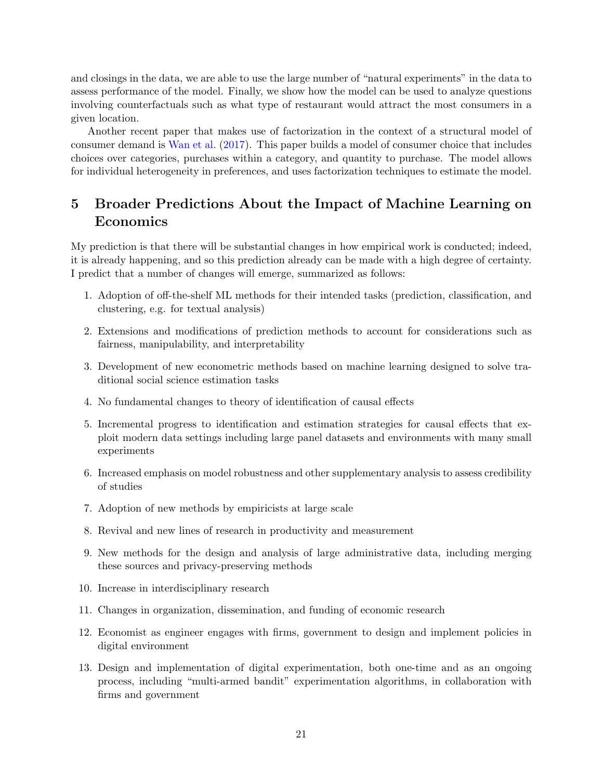and closings in the data, we are able to use the large number of "natural experiments" in the data to assess performance of the model. Finally, we show how the model can be used to analyze questions involving counterfactuals such as what type of restaurant would attract the most consumers in a given location.

Another recent paper that makes use of factorization in the context of a structural model of consumer demand is [Wan et al.](#page-30-14) [\(2017\)](#page-30-14). This paper builds a model of consumer choice that includes choices over categories, purchases within a category, and quantity to purchase. The model allows for individual heterogeneity in preferences, and uses factorization techniques to estimate the model.

# 5 Broader Predictions About the Impact of Machine Learning on Economics

My prediction is that there will be substantial changes in how empirical work is conducted; indeed, it is already happening, and so this prediction already can be made with a high degree of certainty. I predict that a number of changes will emerge, summarized as follows:

- 1. Adoption of off-the-shelf ML methods for their intended tasks (prediction, classification, and clustering, e.g. for textual analysis)
- 2. Extensions and modifications of prediction methods to account for considerations such as fairness, manipulability, and interpretability
- 3. Development of new econometric methods based on machine learning designed to solve traditional social science estimation tasks
- 4. No fundamental changes to theory of identification of causal effects
- 5. Incremental progress to identification and estimation strategies for causal effects that exploit modern data settings including large panel datasets and environments with many small experiments
- 6. Increased emphasis on model robustness and other supplementary analysis to assess credibility of studies
- 7. Adoption of new methods by empiricists at large scale
- 8. Revival and new lines of research in productivity and measurement
- 9. New methods for the design and analysis of large administrative data, including merging these sources and privacy-preserving methods
- 10. Increase in interdisciplinary research
- 11. Changes in organization, dissemination, and funding of economic research
- 12. Economist as engineer engages with firms, government to design and implement policies in digital environment
- 13. Design and implementation of digital experimentation, both one-time and as an ongoing process, including "multi-armed bandit" experimentation algorithms, in collaboration with firms and government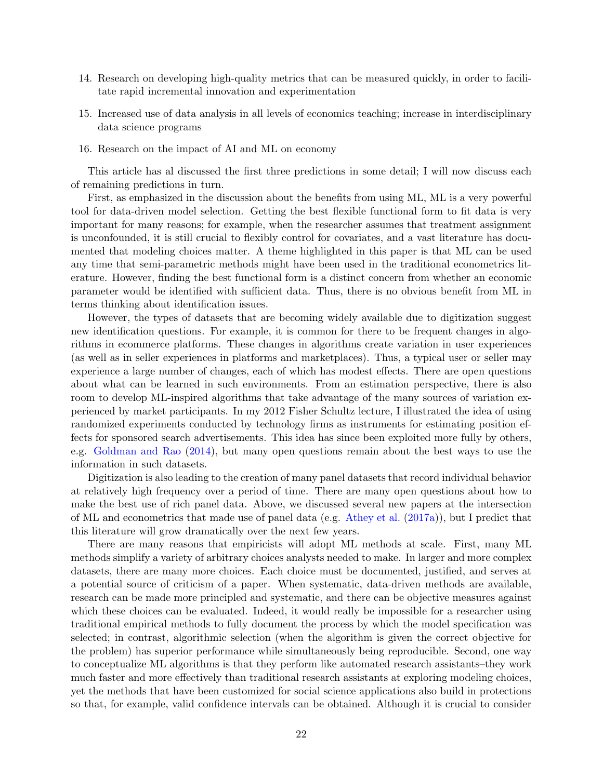- 14. Research on developing high-quality metrics that can be measured quickly, in order to facilitate rapid incremental innovation and experimentation
- 15. Increased use of data analysis in all levels of economics teaching; increase in interdisciplinary data science programs
- 16. Research on the impact of AI and ML on economy

This article has al discussed the first three predictions in some detail; I will now discuss each of remaining predictions in turn.

First, as emphasized in the discussion about the benefits from using ML, ML is a very powerful tool for data-driven model selection. Getting the best flexible functional form to fit data is very important for many reasons; for example, when the researcher assumes that treatment assignment is unconfounded, it is still crucial to flexibly control for covariates, and a vast literature has documented that modeling choices matter. A theme highlighted in this paper is that ML can be used any time that semi-parametric methods might have been used in the traditional econometrics literature. However, finding the best functional form is a distinct concern from whether an economic parameter would be identified with sufficient data. Thus, there is no obvious benefit from ML in terms thinking about identification issues.

However, the types of datasets that are becoming widely available due to digitization suggest new identification questions. For example, it is common for there to be frequent changes in algorithms in ecommerce platforms. These changes in algorithms create variation in user experiences (as well as in seller experiences in platforms and marketplaces). Thus, a typical user or seller may experience a large number of changes, each of which has modest effects. There are open questions about what can be learned in such environments. From an estimation perspective, there is also room to develop ML-inspired algorithms that take advantage of the many sources of variation experienced by market participants. In my 2012 Fisher Schultz lecture, I illustrated the idea of using randomized experiments conducted by technology firms as instruments for estimating position effects for sponsored search advertisements. This idea has since been exploited more fully by others, e.g. [Goldman and Rao](#page-28-16) [\(2014\)](#page-28-16), but many open questions remain about the best ways to use the information in such datasets.

Digitization is also leading to the creation of many panel datasets that record individual behavior at relatively high frequency over a period of time. There are many open questions about how to make the best use of rich panel data. Above, we discussed several new papers at the intersection of ML and econometrics that made use of panel data (e.g. [Athey et al.](#page-27-13) [\(2017a\)](#page-27-13)), but I predict that this literature will grow dramatically over the next few years.

There are many reasons that empiricists will adopt ML methods at scale. First, many ML methods simplify a variety of arbitrary choices analysts needed to make. In larger and more complex datasets, there are many more choices. Each choice must be documented, justified, and serves at a potential source of criticism of a paper. When systematic, data-driven methods are available, research can be made more principled and systematic, and there can be objective measures against which these choices can be evaluated. Indeed, it would really be impossible for a researcher using traditional empirical methods to fully document the process by which the model specification was selected; in contrast, algorithmic selection (when the algorithm is given the correct objective for the problem) has superior performance while simultaneously being reproducible. Second, one way to conceptualize ML algorithms is that they perform like automated research assistants–they work much faster and more effectively than traditional research assistants at exploring modeling choices, yet the methods that have been customized for social science applications also build in protections so that, for example, valid confidence intervals can be obtained. Although it is crucial to consider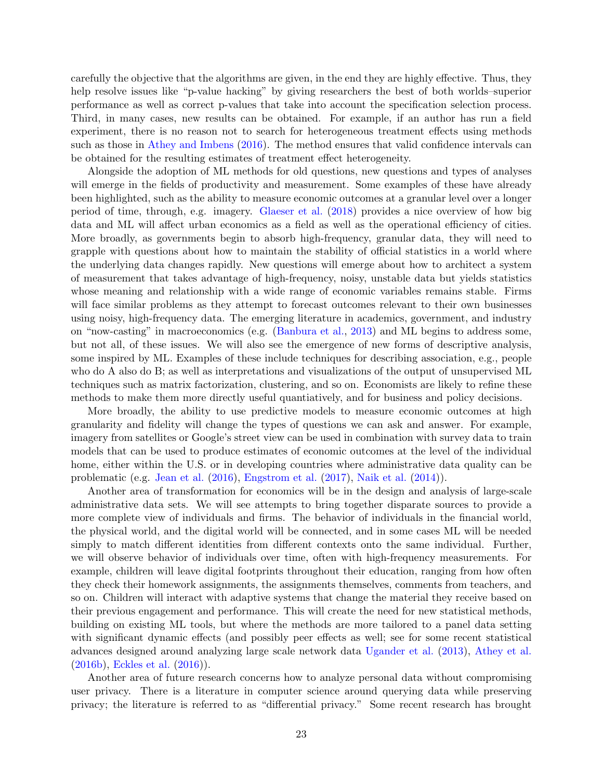carefully the objective that the algorithms are given, in the end they are highly effective. Thus, they help resolve issues like "p-value hacking" by giving researchers the best of both worlds–superior performance as well as correct p-values that take into account the specification selection process. Third, in many cases, new results can be obtained. For example, if an author has run a field experiment, there is no reason not to search for heterogeneous treatment effects using methods such as those in [Athey and Imbens](#page-26-2) [\(2016\)](#page-26-2). The method ensures that valid confidence intervals can be obtained for the resulting estimates of treatment effect heterogeneity.

Alongside the adoption of ML methods for old questions, new questions and types of analyses will emerge in the fields of productivity and measurement. Some examples of these have already been highlighted, such as the ability to measure economic outcomes at a granular level over a longer period of time, through, e.g. imagery. [Glaeser et al.](#page-28-17) [\(2018\)](#page-28-17) provides a nice overview of how big data and ML will affect urban economics as a field as well as the operational efficiency of cities. More broadly, as governments begin to absorb high-frequency, granular data, they will need to grapple with questions about how to maintain the stability of official statistics in a world where the underlying data changes rapidly. New questions will emerge about how to architect a system of measurement that takes advantage of high-frequency, noisy, unstable data but yields statistics whose meaning and relationship with a wide range of economic variables remains stable. Firms will face similar problems as they attempt to forecast outcomes relevant to their own businesses using noisy, high-frequency data. The emerging literature in academics, government, and industry on "now-casting" in macroeconomics (e.g. [\(Banbura et al.,](#page-27-19) [2013\)](#page-27-19) and ML begins to address some, but not all, of these issues. We will also see the emergence of new forms of descriptive analysis, some inspired by ML. Examples of these include techniques for describing association, e.g., people who do A also do B; as well as interpretations and visualizations of the output of unsupervised ML techniques such as matrix factorization, clustering, and so on. Economists are likely to refine these methods to make them more directly useful quantiatively, and for business and policy decisions.

More broadly, the ability to use predictive models to measure economic outcomes at high granularity and fidelity will change the types of questions we can ask and answer. For example, imagery from satellites or Google's street view can be used in combination with survey data to train models that can be used to produce estimates of economic outcomes at the level of the individual home, either within the U.S. or in developing countries where administrative data quality can be problematic (e.g. [Jean et al.](#page-29-18) [\(2016\)](#page-29-18), [Engstrom et al.](#page-28-18) [\(2017\)](#page-28-18), [Naik et al.](#page-29-19) [\(2014\)](#page-29-19)).

Another area of transformation for economics will be in the design and analysis of large-scale administrative data sets. We will see attempts to bring together disparate sources to provide a more complete view of individuals and firms. The behavior of individuals in the financial world, the physical world, and the digital world will be connected, and in some cases ML will be needed simply to match different identities from different contexts onto the same individual. Further, we will observe behavior of individuals over time, often with high-frequency measurements. For example, children will leave digital footprints throughout their education, ranging from how often they check their homework assignments, the assignments themselves, comments from teachers, and so on. Children will interact with adaptive systems that change the material they receive based on their previous engagement and performance. This will create the need for new statistical methods, building on existing ML tools, but where the methods are more tailored to a panel data setting with significant dynamic effects (and possibly peer effects as well; see for some recent statistical advances designed around analyzing large scale network data [Ugander et al.](#page-30-15) [\(2013\)](#page-30-15), [Athey et al.](#page-27-20) [\(2016b\)](#page-27-20), [Eckles et al.](#page-28-19) [\(2016\)](#page-28-19)).

Another area of future research concerns how to analyze personal data without compromising user privacy. There is a literature in computer science around querying data while preserving privacy; the literature is referred to as "differential privacy." Some recent research has brought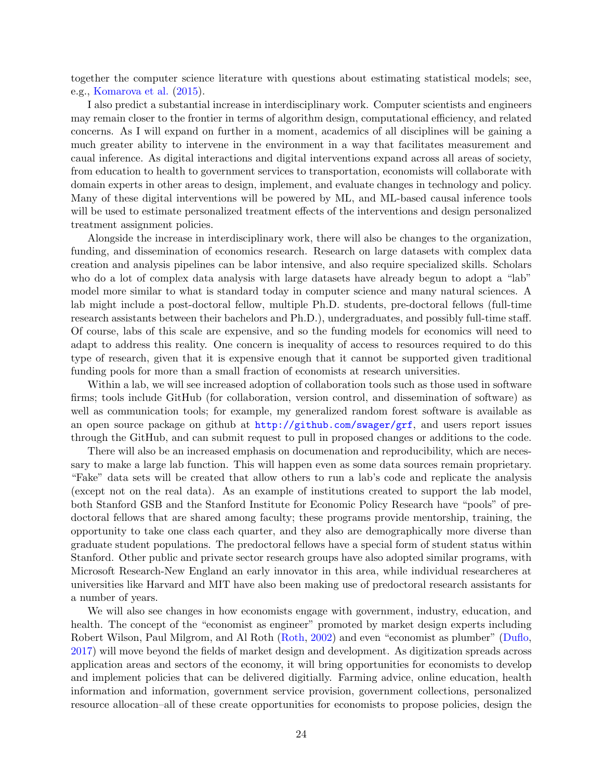together the computer science literature with questions about estimating statistical models; see, e.g., [Komarova et al.](#page-29-20) [\(2015\)](#page-29-20).

I also predict a substantial increase in interdisciplinary work. Computer scientists and engineers may remain closer to the frontier in terms of algorithm design, computational efficiency, and related concerns. As I will expand on further in a moment, academics of all disciplines will be gaining a much greater ability to intervene in the environment in a way that facilitates measurement and caual inference. As digital interactions and digital interventions expand across all areas of society, from education to health to government services to transportation, economists will collaborate with domain experts in other areas to design, implement, and evaluate changes in technology and policy. Many of these digital interventions will be powered by ML, and ML-based causal inference tools will be used to estimate personalized treatment effects of the interventions and design personalized treatment assignment policies.

Alongside the increase in interdisciplinary work, there will also be changes to the organization, funding, and dissemination of economics research. Research on large datasets with complex data creation and analysis pipelines can be labor intensive, and also require specialized skills. Scholars who do a lot of complex data analysis with large datasets have already begun to adopt a "lab" model more similar to what is standard today in computer science and many natural sciences. A lab might include a post-doctoral fellow, multiple Ph.D. students, pre-doctoral fellows (full-time research assistants between their bachelors and Ph.D.), undergraduates, and possibly full-time staff. Of course, labs of this scale are expensive, and so the funding models for economics will need to adapt to address this reality. One concern is inequality of access to resources required to do this type of research, given that it is expensive enough that it cannot be supported given traditional funding pools for more than a small fraction of economists at research universities.

Within a lab, we will see increased adoption of collaboration tools such as those used in software firms; tools include GitHub (for collaboration, version control, and dissemination of software) as well as communication tools; for example, my generalized random forest software is available as an open source package on github at <http://github.com/swager/grf>, and users report issues through the GitHub, and can submit request to pull in proposed changes or additions to the code.

There will also be an increased emphasis on documenation and reproducibility, which are necessary to make a large lab function. This will happen even as some data sources remain proprietary. "Fake" data sets will be created that allow others to run a lab's code and replicate the analysis (except not on the real data). As an example of institutions created to support the lab model, both Stanford GSB and the Stanford Institute for Economic Policy Research have "pools" of predoctoral fellows that are shared among faculty; these programs provide mentorship, training, the opportunity to take one class each quarter, and they also are demographically more diverse than graduate student populations. The predoctoral fellows have a special form of student status within Stanford. Other public and private sector research groups have also adopted similar programs, with Microsoft Research-New England an early innovator in this area, while individual researcheres at universities like Harvard and MIT have also been making use of predoctoral research assistants for a number of years.

We will also see changes in how economists engage with government, industry, education, and health. The concept of the "economist as engineer" promoted by market design experts including Robert Wilson, Paul Milgrom, and Al Roth [\(Roth,](#page-30-16) [2002\)](#page-30-16) and even "economist as plumber" [\(Duflo,](#page-28-20) [2017\)](#page-28-20) will move beyond the fields of market design and development. As digitization spreads across application areas and sectors of the economy, it will bring opportunities for economists to develop and implement policies that can be delivered digitially. Farming advice, online education, health information and information, government service provision, government collections, personalized resource allocation–all of these create opportunities for economists to propose policies, design the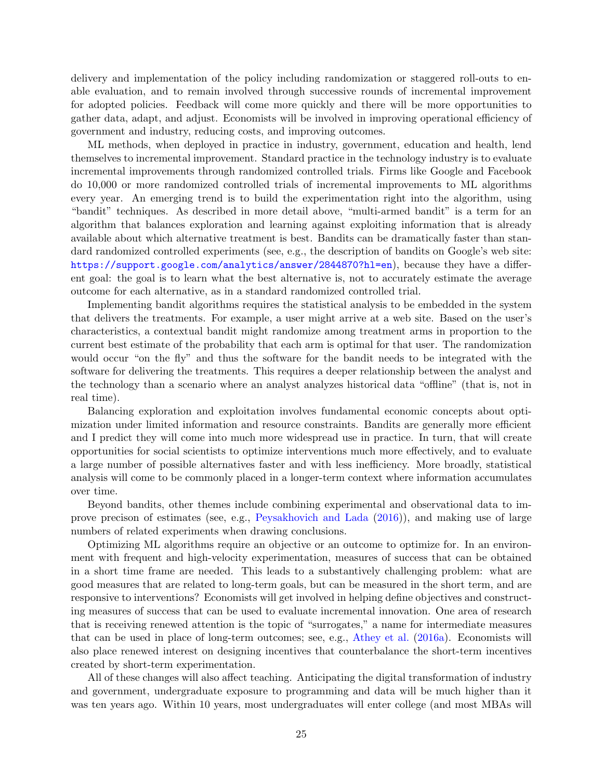delivery and implementation of the policy including randomization or staggered roll-outs to enable evaluation, and to remain involved through successive rounds of incremental improvement for adopted policies. Feedback will come more quickly and there will be more opportunities to gather data, adapt, and adjust. Economists will be involved in improving operational efficiency of government and industry, reducing costs, and improving outcomes.

ML methods, when deployed in practice in industry, government, education and health, lend themselves to incremental improvement. Standard practice in the technology industry is to evaluate incremental improvements through randomized controlled trials. Firms like Google and Facebook do 10,000 or more randomized controlled trials of incremental improvements to ML algorithms every year. An emerging trend is to build the experimentation right into the algorithm, using "bandit" techniques. As described in more detail above, "multi-armed bandit" is a term for an algorithm that balances exploration and learning against exploiting information that is already available about which alternative treatment is best. Bandits can be dramatically faster than standard randomized controlled experiments (see, e.g., the description of bandits on Google's web site: <https://support.google.com/analytics/answer/2844870?hl=en>), because they have a different goal: the goal is to learn what the best alternative is, not to accurately estimate the average outcome for each alternative, as in a standard randomized controlled trial.

Implementing bandit algorithms requires the statistical analysis to be embedded in the system that delivers the treatments. For example, a user might arrive at a web site. Based on the user's characteristics, a contextual bandit might randomize among treatment arms in proportion to the current best estimate of the probability that each arm is optimal for that user. The randomization would occur "on the fly" and thus the software for the bandit needs to be integrated with the software for delivering the treatments. This requires a deeper relationship between the analyst and the technology than a scenario where an analyst analyzes historical data "offline" (that is, not in real time).

Balancing exploration and exploitation involves fundamental economic concepts about optimization under limited information and resource constraints. Bandits are generally more efficient and I predict they will come into much more widespread use in practice. In turn, that will create opportunities for social scientists to optimize interventions much more effectively, and to evaluate a large number of possible alternatives faster and with less inefficiency. More broadly, statistical analysis will come to be commonly placed in a longer-term context where information accumulates over time.

Beyond bandits, other themes include combining experimental and observational data to improve precison of estimates (see, e.g., [Peysakhovich and Lada](#page-30-17) [\(2016\)](#page-30-17)), and making use of large numbers of related experiments when drawing conclusions.

Optimizing ML algorithms require an objective or an outcome to optimize for. In an environment with frequent and high-velocity experimentation, measures of success that can be obtained in a short time frame are needed. This leads to a substantively challenging problem: what are good measures that are related to long-term goals, but can be measured in the short term, and are responsive to interventions? Economists will get involved in helping define objectives and constructing measures of success that can be used to evaluate incremental innovation. One area of research that is receiving renewed attention is the topic of "surrogates," a name for intermediate measures that can be used in place of long-term outcomes; see, e.g., [Athey et al.](#page-27-21) [\(2016a\)](#page-27-21). Economists will also place renewed interest on designing incentives that counterbalance the short-term incentives created by short-term experimentation.

All of these changes will also affect teaching. Anticipating the digital transformation of industry and government, undergraduate exposure to programming and data will be much higher than it was ten years ago. Within 10 years, most undergraduates will enter college (and most MBAs will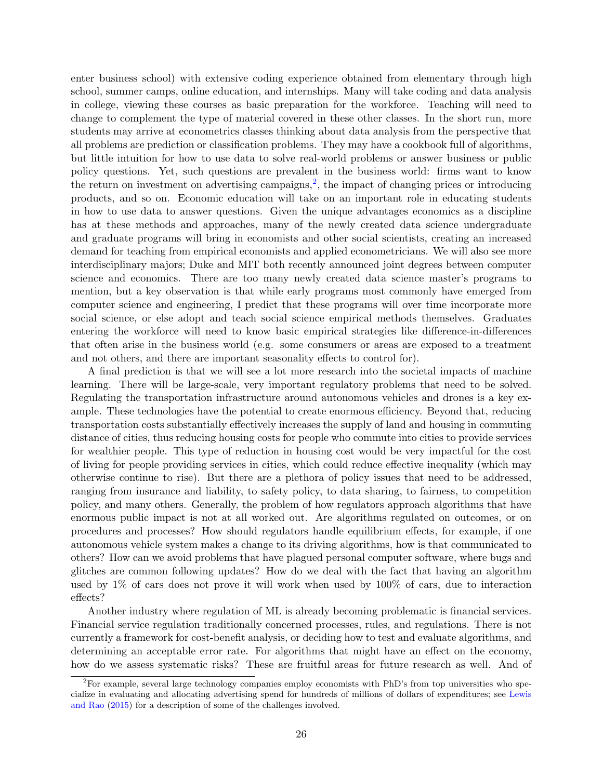enter business school) with extensive coding experience obtained from elementary through high school, summer camps, online education, and internships. Many will take coding and data analysis in college, viewing these courses as basic preparation for the workforce. Teaching will need to change to complement the type of material covered in these other classes. In the short run, more students may arrive at econometrics classes thinking about data analysis from the perspective that all problems are prediction or classification problems. They may have a cookbook full of algorithms, but little intuition for how to use data to solve real-world problems or answer business or public policy questions. Yet, such questions are prevalent in the business world: firms want to know the return on investment on advertising campaigns,<sup>[2](#page-25-0)</sup>, the impact of changing prices or introducing products, and so on. Economic education will take on an important role in educating students in how to use data to answer questions. Given the unique advantages economics as a discipline has at these methods and approaches, many of the newly created data science undergraduate and graduate programs will bring in economists and other social scientists, creating an increased demand for teaching from empirical economists and applied econometricians. We will also see more interdisciplinary majors; Duke and MIT both recently announced joint degrees between computer science and economics. There are too many newly created data science master's programs to mention, but a key observation is that while early programs most commonly have emerged from computer science and engineering, I predict that these programs will over time incorporate more social science, or else adopt and teach social science empirical methods themselves. Graduates entering the workforce will need to know basic empirical strategies like difference-in-differences that often arise in the business world (e.g. some consumers or areas are exposed to a treatment and not others, and there are important seasonality effects to control for).

A final prediction is that we will see a lot more research into the societal impacts of machine learning. There will be large-scale, very important regulatory problems that need to be solved. Regulating the transportation infrastructure around autonomous vehicles and drones is a key example. These technologies have the potential to create enormous efficiency. Beyond that, reducing transportation costs substantially effectively increases the supply of land and housing in commuting distance of cities, thus reducing housing costs for people who commute into cities to provide services for wealthier people. This type of reduction in housing cost would be very impactful for the cost of living for people providing services in cities, which could reduce effective inequality (which may otherwise continue to rise). But there are a plethora of policy issues that need to be addressed, ranging from insurance and liability, to safety policy, to data sharing, to fairness, to competition policy, and many others. Generally, the problem of how regulators approach algorithms that have enormous public impact is not at all worked out. Are algorithms regulated on outcomes, or on procedures and processes? How should regulators handle equilibrium effects, for example, if one autonomous vehicle system makes a change to its driving algorithms, how is that communicated to others? How can we avoid problems that have plagued personal computer software, where bugs and glitches are common following updates? How do we deal with the fact that having an algorithm used by 1% of cars does not prove it will work when used by 100% of cars, due to interaction effects?

Another industry where regulation of ML is already becoming problematic is financial services. Financial service regulation traditionally concerned processes, rules, and regulations. There is not currently a framework for cost-benefit analysis, or deciding how to test and evaluate algorithms, and determining an acceptable error rate. For algorithms that might have an effect on the economy, how do we assess systematic risks? These are fruitful areas for future research as well. And of

<span id="page-25-0"></span><sup>&</sup>lt;sup>2</sup>For example, several large technology companies employ economists with PhD's from top universities who specialize in evaluating and allocating advertising spend for hundreds of millions of dollars of expenditures; see [Lewis](#page-29-21) [and Rao](#page-29-21) [\(2015\)](#page-29-21) for a description of some of the challenges involved.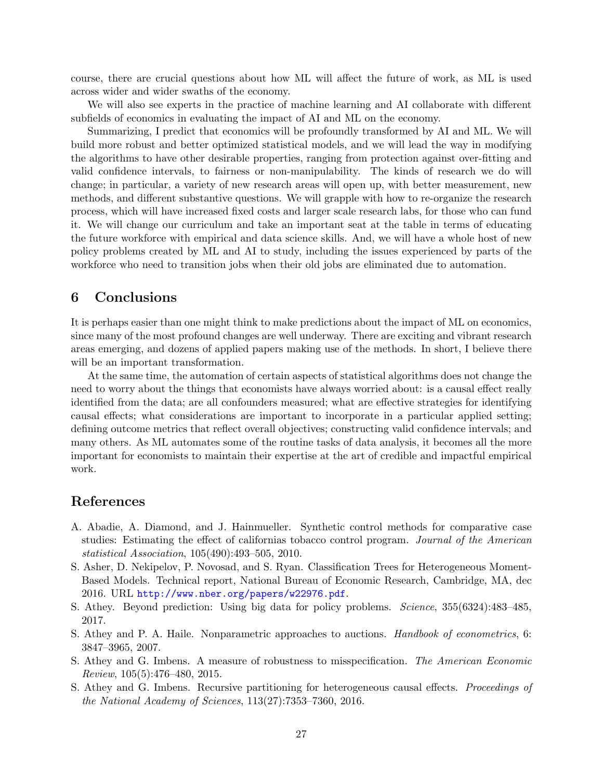course, there are crucial questions about how ML will affect the future of work, as ML is used across wider and wider swaths of the economy.

We will also see experts in the practice of machine learning and AI collaborate with different subfields of economics in evaluating the impact of AI and ML on the economy.

Summarizing, I predict that economics will be profoundly transformed by AI and ML. We will build more robust and better optimized statistical models, and we will lead the way in modifying the algorithms to have other desirable properties, ranging from protection against over-fitting and valid confidence intervals, to fairness or non-manipulability. The kinds of research we do will change; in particular, a variety of new research areas will open up, with better measurement, new methods, and different substantive questions. We will grapple with how to re-organize the research process, which will have increased fixed costs and larger scale research labs, for those who can fund it. We will change our curriculum and take an important seat at the table in terms of educating the future workforce with empirical and data science skills. And, we will have a whole host of new policy problems created by ML and AI to study, including the issues experienced by parts of the workforce who need to transition jobs when their old jobs are eliminated due to automation.

### 6 Conclusions

It is perhaps easier than one might think to make predictions about the impact of ML on economics, since many of the most profound changes are well underway. There are exciting and vibrant research areas emerging, and dozens of applied papers making use of the methods. In short, I believe there will be an important transformation.

At the same time, the automation of certain aspects of statistical algorithms does not change the need to worry about the things that economists have always worried about: is a causal effect really identified from the data; are all confounders measured; what are effective strategies for identifying causal effects; what considerations are important to incorporate in a particular applied setting; defining outcome metrics that reflect overall objectives; constructing valid confidence intervals; and many others. As ML automates some of the routine tasks of data analysis, it becomes all the more important for economists to maintain their expertise at the art of credible and impactful empirical work.

### References

- <span id="page-26-5"></span>A. Abadie, A. Diamond, and J. Hainmueller. Synthetic control methods for comparative case studies: Estimating the effect of californias tobacco control program. Journal of the American statistical Association, 105(490):493–505, 2010.
- <span id="page-26-3"></span>S. Asher, D. Nekipelov, P. Novosad, and S. Ryan. Classification Trees for Heterogeneous Moment-Based Models. Technical report, National Bureau of Economic Research, Cambridge, MA, dec 2016. URL <http://www.nber.org/papers/w22976.pdf>.
- <span id="page-26-1"></span>S. Athey. Beyond prediction: Using big data for policy problems. Science, 355(6324):483–485, 2017.
- <span id="page-26-0"></span>S. Athey and P. A. Haile. Nonparametric approaches to auctions. Handbook of econometrics, 6: 3847–3965, 2007.
- <span id="page-26-4"></span>S. Athey and G. Imbens. A measure of robustness to misspecification. The American Economic Review, 105(5):476–480, 2015.
- <span id="page-26-2"></span>S. Athey and G. Imbens. Recursive partitioning for heterogeneous causal effects. Proceedings of the National Academy of Sciences, 113(27):7353–7360, 2016.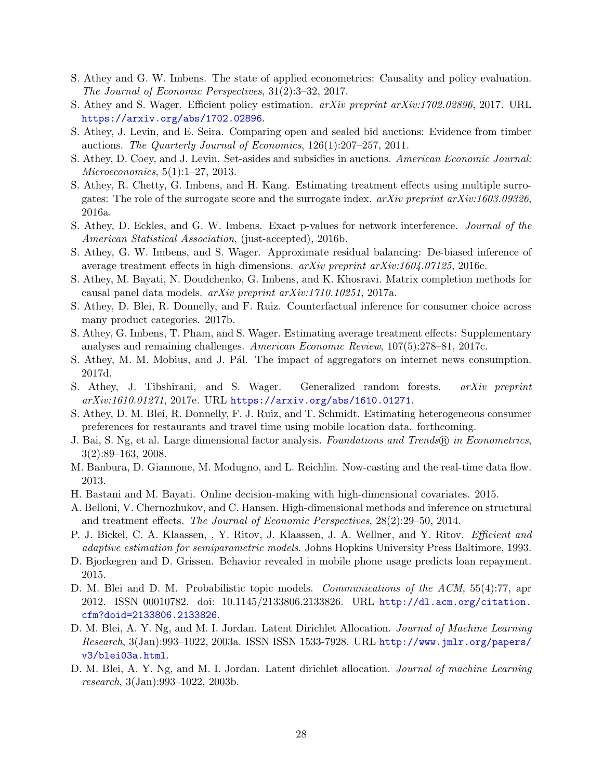- <span id="page-27-8"></span>S. Athey and G. W. Imbens. The state of applied econometrics: Causality and policy evaluation. The Journal of Economic Perspectives, 31(2):3–32, 2017.
- <span id="page-27-10"></span>S. Athey and S. Wager. Efficient policy estimation.  $arXiv$  preprint  $arXiv:1702.02896, 2017$ . URL <https://arxiv.org/abs/1702.02896>.
- <span id="page-27-2"></span>S. Athey, J. Levin, and E. Seira. Comparing open and sealed bid auctions: Evidence from timber auctions. The Quarterly Journal of Economics, 126(1):207–257, 2011.
- <span id="page-27-3"></span>S. Athey, D. Coey, and J. Levin. Set-asides and subsidies in auctions. American Economic Journal: Microeconomics, 5(1):1–27, 2013.
- <span id="page-27-21"></span>S. Athey, R. Chetty, G. Imbens, and H. Kang. Estimating treatment effects using multiple surrogates: The role of the surrogate score and the surrogate index. arXiv preprint arXiv:1603.09326, 2016a.
- <span id="page-27-20"></span>S. Athey, D. Eckles, and G. W. Imbens. Exact p-values for network interference. Journal of the American Statistical Association, (just-accepted), 2016b.
- <span id="page-27-7"></span>S. Athey, G. W. Imbens, and S. Wager. Approximate residual balancing: De-biased inference of average treatment effects in high dimensions.  $arXiv$  preprint  $arXiv:1604.07125$ , 2016c.
- <span id="page-27-13"></span>S. Athey, M. Bayati, N. Doudchenko, G. Imbens, and K. Khosravi. Matrix completion methods for causal panel data models. arXiv preprint arXiv:1710.10251, 2017a.
- <span id="page-27-17"></span>S. Athey, D. Blei, R. Donnelly, and F. Ruiz. Counterfactual inference for consumer choice across many product categories. 2017b.
- <span id="page-27-12"></span>S. Athey, G. Imbens, T. Pham, and S. Wager. Estimating average treatment effects: Supplementary analyses and remaining challenges. American Economic Review, 107(5):278–81, 2017c.
- <span id="page-27-1"></span>S. Athey, M. M. Mobius, and J. Pál. The impact of aggregators on internet news consumption. 2017d.
- <span id="page-27-9"></span>S. Athey, J. Tibshirani, and S. Wager. Generalized random forests. arXiv preprint arXiv:1610.01271, 2017e. URL <https://arxiv.org/abs/1610.01271>.
- <span id="page-27-18"></span>S. Athey, D. M. Blei, R. Donnelly, F. J. Ruiz, and T. Schmidt. Estimating heterogeneous consumer preferences for restaurants and travel time using mobile location data. forthcoming.
- <span id="page-27-14"></span>J. Bai, S. Ng, et al. Large dimensional factor analysis. Foundations and Trends R in Econometrics, 3(2):89–163, 2008.
- <span id="page-27-19"></span>M. Banbura, D. Giannone, M. Modugno, and L. Reichlin. Now-casting and the real-time data flow. 2013.
- <span id="page-27-11"></span><span id="page-27-6"></span>H. Bastani and M. Bayati. Online decision-making with high-dimensional covariates. 2015.
- A. Belloni, V. Chernozhukov, and C. Hansen. High-dimensional methods and inference on structural and treatment effects. The Journal of Economic Perspectives, 28(2):29–50, 2014.
- <span id="page-27-5"></span>P. J. Bickel, C. A. Klaassen, , Y. Ritov, J. Klaassen, J. A. Wellner, and Y. Ritov. Efficient and adaptive estimation for semiparametric models. Johns Hopkins University Press Baltimore, 1993.
- <span id="page-27-4"></span>D. Bjorkegren and D. Grissen. Behavior revealed in mobile phone usage predicts loan repayment. 2015.
- <span id="page-27-16"></span>D. M. Blei and D. M. Probabilistic topic models. Communications of the ACM, 55(4):77, apr 2012. ISSN 00010782. doi: 10.1145/2133806.2133826. URL [http://dl.acm.org/citation.](http://dl.acm.org/citation.cfm?doid=2133806.2133826) [cfm?doid=2133806.2133826](http://dl.acm.org/citation.cfm?doid=2133806.2133826).
- <span id="page-27-15"></span>D. M. Blei, A. Y. Ng, and M. I. Jordan. Latent Dirichlet Allocation. Journal of Machine Learning Research, 3(Jan):993–1022, 2003a. ISSN ISSN 1533-7928. URL [http://www.jmlr.org/papers/](http://www.jmlr.org/papers/v3/blei03a.html) [v3/blei03a.html](http://www.jmlr.org/papers/v3/blei03a.html).
- <span id="page-27-0"></span>D. M. Blei, A. Y. Ng, and M. I. Jordan. Latent dirichlet allocation. *Journal of machine Learning* research, 3(Jan):993–1022, 2003b.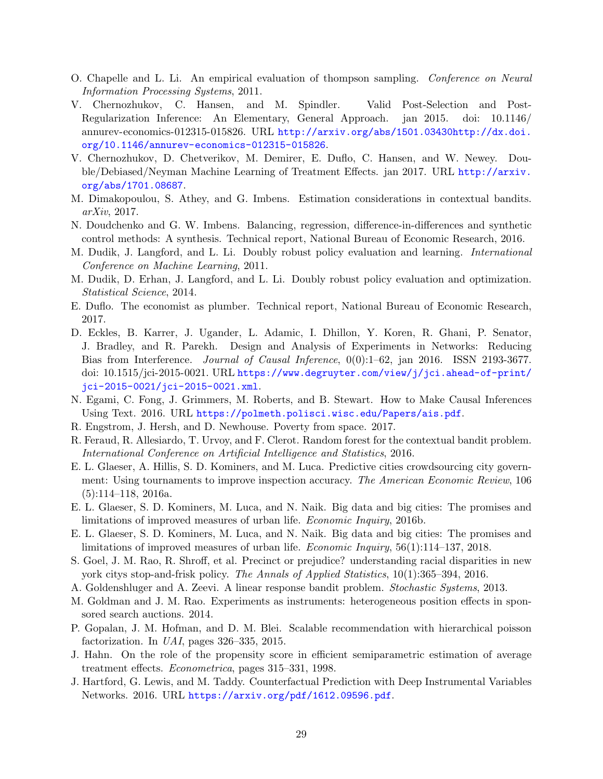- <span id="page-28-14"></span>O. Chapelle and L. Li. An empirical evaluation of thompson sampling. Conference on Neural Information Processing Systems, 2011.
- <span id="page-28-6"></span>V. Chernozhukov, C. Hansen, and M. Spindler. Valid Post-Selection and Post-Regularization Inference: An Elementary, General Approach. jan 2015. doi: 10.1146/ annurev-economics-012315-015826. URL [http://arxiv.org/abs/1501.03430http://dx.doi.](http://arxiv.org/abs/1501.03430 http://dx.doi.org/10.1146/annurev-economics-012315-015826) [org/10.1146/annurev-economics-012315-015826](http://arxiv.org/abs/1501.03430 http://dx.doi.org/10.1146/annurev-economics-012315-015826).
- <span id="page-28-7"></span>V. Chernozhukov, D. Chetverikov, M. Demirer, E. Duflo, C. Hansen, and W. Newey. Double/Debiased/Neyman Machine Learning of Treatment Effects. jan 2017. URL [http://arxiv.](http://arxiv.org/abs/1701.08687) [org/abs/1701.08687](http://arxiv.org/abs/1701.08687).
- <span id="page-28-12"></span>M. Dimakopoulou, S. Athey, and G. Imbens. Estimation considerations in contextual bandits. arXiv, 2017.
- <span id="page-28-15"></span>N. Doudchenko and G. W. Imbens. Balancing, regression, difference-in-differences and synthetic control methods: A synthesis. Technical report, National Bureau of Economic Research, 2016.
- <span id="page-28-9"></span>M. Dudik, J. Langford, and L. Li. Doubly robust policy evaluation and learning. International Conference on Machine Learning, 2011.
- <span id="page-28-10"></span>M. Dudik, D. Erhan, J. Langford, and L. Li. Doubly robust policy evaluation and optimization. Statistical Science, 2014.
- <span id="page-28-20"></span>E. Duflo. The economist as plumber. Technical report, National Bureau of Economic Research, 2017.
- <span id="page-28-19"></span>D. Eckles, B. Karrer, J. Ugander, L. Adamic, I. Dhillon, Y. Koren, R. Ghani, P. Senator, J. Bradley, and R. Parekh. Design and Analysis of Experiments in Networks: Reducing Bias from Interference. Journal of Causal Inference, 0(0):1–62, jan 2016. ISSN 2193-3677. doi: 10.1515/jci-2015-0021. URL [https://www.degruyter.com/view/j/jci.ahead-of-print/](https://www.degruyter.com/view/j/jci.ahead-of-print/jci-2015-0021/jci-2015-0021.xml) [jci-2015-0021/jci-2015-0021.xml](https://www.degruyter.com/view/j/jci.ahead-of-print/jci-2015-0021/jci-2015-0021.xml).
- <span id="page-28-1"></span>N. Egami, C. Fong, J. Grimmers, M. Roberts, and B. Stewart. How to Make Causal Inferences Using Text. 2016. URL <https://polmeth.polisci.wisc.edu/Papers/ais.pdf>.
- <span id="page-28-18"></span>R. Engstrom, J. Hersh, and D. Newhouse. Poverty from space. 2017.
- <span id="page-28-13"></span>R. Feraud, R. Allesiardo, T. Urvoy, and F. Clerot. Random forest for the contextual bandit problem. International Conference on Artificial Intelligence and Statistics, 2016.
- <span id="page-28-3"></span>E. L. Glaeser, A. Hillis, S. D. Kominers, and M. Luca. Predictive cities crowdsourcing city government: Using tournaments to improve inspection accuracy. The American Economic Review, 106 (5):114–118, 2016a.
- <span id="page-28-4"></span>E. L. Glaeser, S. D. Kominers, M. Luca, and N. Naik. Big data and big cities: The promises and limitations of improved measures of urban life. Economic Inquiry, 2016b.
- <span id="page-28-17"></span>E. L. Glaeser, S. D. Kominers, M. Luca, and N. Naik. Big data and big cities: The promises and limitations of improved measures of urban life. Economic Inquiry, 56(1):114–137, 2018.
- <span id="page-28-2"></span>S. Goel, J. M. Rao, R. Shroff, et al. Precinct or prejudice? understanding racial disparities in new york citys stop-and-frisk policy. The Annals of Applied Statistics, 10(1):365–394, 2016.
- <span id="page-28-11"></span>A. Goldenshluger and A. Zeevi. A linear response bandit problem. Stochastic Systems, 2013.
- <span id="page-28-16"></span>M. Goldman and J. M. Rao. Experiments as instruments: heterogeneous position effects in sponsored search auctions. 2014.
- <span id="page-28-0"></span>P. Gopalan, J. M. Hofman, and D. M. Blei. Scalable recommendation with hierarchical poisson factorization. In UAI, pages 326–335, 2015.
- <span id="page-28-5"></span>J. Hahn. On the role of the propensity score in efficient semiparametric estimation of average treatment effects. Econometrica, pages 315–331, 1998.
- <span id="page-28-8"></span>J. Hartford, G. Lewis, and M. Taddy. Counterfactual Prediction with Deep Instrumental Variables Networks. 2016. URL <https://arxiv.org/pdf/1612.09596.pdf>.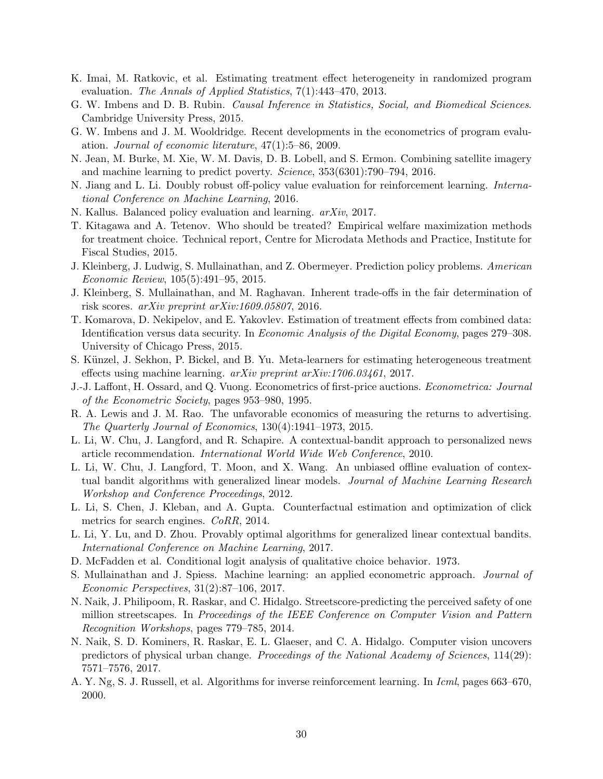- <span id="page-29-9"></span>K. Imai, M. Ratkovic, et al. Estimating treatment effect heterogeneity in randomized program evaluation. The Annals of Applied Statistics, 7(1):443–470, 2013.
- <span id="page-29-6"></span>G. W. Imbens and D. B. Rubin. Causal Inference in Statistics, Social, and Biomedical Sciences. Cambridge University Press, 2015.
- <span id="page-29-8"></span>G. W. Imbens and J. M. Wooldridge. Recent developments in the econometrics of program evaluation. Journal of economic literature, 47(1):5–86, 2009.
- <span id="page-29-18"></span>N. Jean, M. Burke, M. Xie, W. M. Davis, D. B. Lobell, and S. Ermon. Combining satellite imagery and machine learning to predict poverty. Science, 353(6301):790–794, 2016.
- <span id="page-29-14"></span>N. Jiang and L. Li. Doubly robust off-policy value evaluation for reinforcement learning. International Conference on Machine Learning, 2016.
- <span id="page-29-15"></span>N. Kallus. Balanced policy evaluation and learning. arXiv, 2017.
- <span id="page-29-11"></span>T. Kitagawa and A. Tetenov. Who should be treated? Empirical welfare maximization methods for treatment choice. Technical report, Centre for Microdata Methods and Practice, Institute for Fiscal Studies, 2015.
- <span id="page-29-0"></span>J. Kleinberg, J. Ludwig, S. Mullainathan, and Z. Obermeyer. Prediction policy problems. American Economic Review, 105(5):491–95, 2015.
- <span id="page-29-7"></span>J. Kleinberg, S. Mullainathan, and M. Raghavan. Inherent trade-offs in the fair determination of risk scores. arXiv preprint arXiv:1609.05807, 2016.
- <span id="page-29-20"></span>T. Komarova, D. Nekipelov, and E. Yakovlev. Estimation of treatment effects from combined data: Identification versus data security. In Economic Analysis of the Digital Economy, pages 279–308. University of Chicago Press, 2015.
- <span id="page-29-10"></span>S. Künzel, J. Sekhon, P. Bickel, and B. Yu. Meta-learners for estimating heterogeneous treatment effects using machine learning. arXiv preprint arXiv:1706.03461, 2017.
- <span id="page-29-3"></span>J.-J. Laffont, H. Ossard, and Q. Vuong. Econometrics of first-price auctions. Econometrica: Journal of the Econometric Society, pages 953–980, 1995.
- <span id="page-29-21"></span>R. A. Lewis and J. M. Rao. The unfavorable economics of measuring the returns to advertising. The Quarterly Journal of Economics, 130(4):1941–1973, 2015.
- <span id="page-29-16"></span>L. Li, W. Chu, J. Langford, and R. Schapire. A contextual-bandit approach to personalized news article recommendation. International World Wide Web Conference, 2010.
- <span id="page-29-12"></span>L. Li, W. Chu, J. Langford, T. Moon, and X. Wang. An unbiased offline evaluation of contextual bandit algorithms with generalized linear models. Journal of Machine Learning Research Workshop and Conference Proceedings, 2012.
- <span id="page-29-13"></span>L. Li, S. Chen, J. Kleban, and A. Gupta. Counterfactual estimation and optimization of click metrics for search engines. CoRR, 2014.
- <span id="page-29-17"></span>L. Li, Y. Lu, and D. Zhou. Provably optimal algorithms for generalized linear contextual bandits. International Conference on Machine Learning, 2017.
- <span id="page-29-2"></span>D. McFadden et al. Conditional logit analysis of qualitative choice behavior. 1973.
- <span id="page-29-1"></span>S. Mullainathan and J. Spiess. Machine learning: an applied econometric approach. Journal of Economic Perspectives, 31(2):87–106, 2017.
- <span id="page-29-19"></span>N. Naik, J. Philipoom, R. Raskar, and C. Hidalgo. Streetscore-predicting the perceived safety of one million streetscapes. In Proceedings of the IEEE Conference on Computer Vision and Pattern Recognition Workshops, pages 779–785, 2014.
- <span id="page-29-5"></span>N. Naik, S. D. Kominers, R. Raskar, E. L. Glaeser, and C. A. Hidalgo. Computer vision uncovers predictors of physical urban change. Proceedings of the National Academy of Sciences, 114(29): 7571–7576, 2017.
- <span id="page-29-4"></span>A. Y. Ng, S. J. Russell, et al. Algorithms for inverse reinforcement learning. In Icml, pages 663–670, 2000.